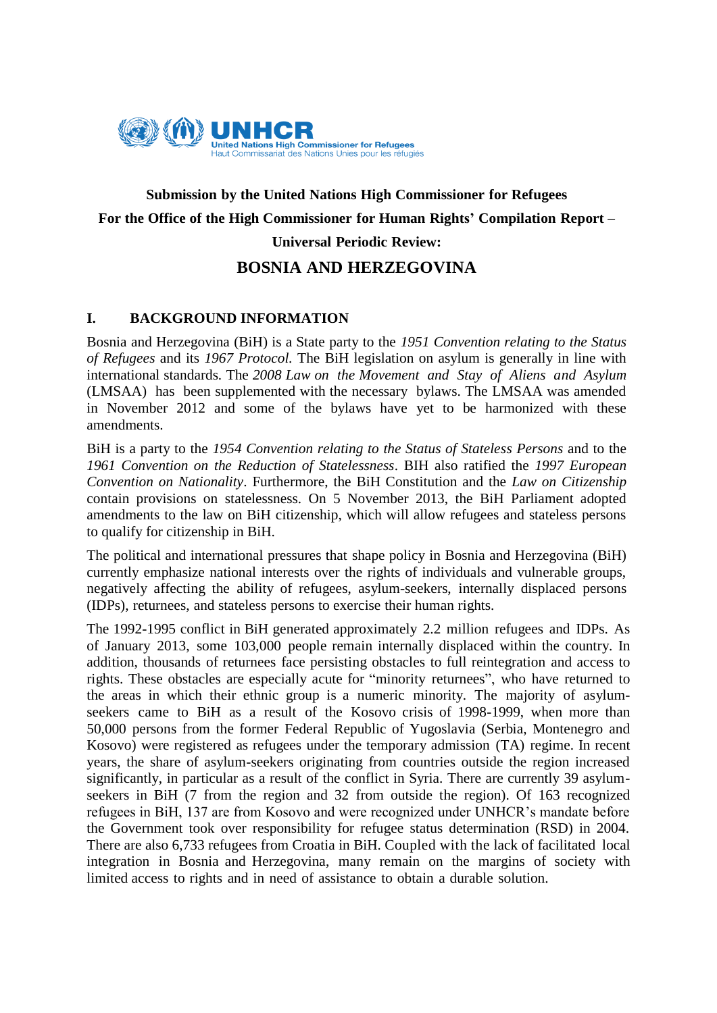

# **Submission by the United Nations High Commissioner for Refugees For the Office of the High Commissioner for Human Rights' Compilation Report – Universal Periodic Review:**

# **BOSNIA AND HERZEGOVINA**

# **I. BACKGROUND INFORMATION**

Bosnia and Herzegovina (BiH) is a State party to the *1951 Convention relating to the Status of Refugees* and its *1967 Protocol.* The BiH legislation on asylum is generally in line with international standards*.* The *2008 Law on the Movement and Stay of Aliens and Asylum* (LMSAA) has been supplemented with the necessary bylaws. The LMSAA was amended in November 2012 and some of the bylaws have yet to be harmonized with these amendments.

BiH is a party to the *1954 Convention relating to the Status of Stateless Persons* and to the *1961 Convention on the Reduction of Statelessness*. BIH also ratified the *1997 European Convention on Nationality*. Furthermore, the BiH Constitution and the *Law on Citizenship*  contain provisions on statelessness. On 5 November 2013, the BiH Parliament adopted amendments to the law on BiH citizenship, which will allow refugees and stateless persons to qualify for citizenship in BiH.

The political and international pressures that shape policy in Bosnia and Herzegovina (BiH) currently emphasize national interests over the rights of individuals and vulnerable groups, negatively affecting the ability of refugees, asylum-seekers, internally displaced persons (IDPs), returnees, and stateless persons to exercise their human rights.

The 1992-1995 conflict in BiH generated approximately 2.2 million refugees and IDPs. As of January 2013, some 103,000 people remain internally displaced within the country. In addition, thousands of returnees face persisting obstacles to full reintegration and access to rights. These obstacles are especially acute for "minority returnees", who have returned to the areas in which their ethnic group is a numeric minority. The majority of asylumseekers came to BiH as a result of the Kosovo crisis of 1998-1999, when more than 50,000 persons from the former Federal Republic of Yugoslavia (Serbia, Montenegro and Kosovo) were registered as refugees under the temporary admission (TA) regime. In recent years, the share of asylum-seekers originating from countries outside the region increased significantly, in particular as a result of the conflict in Syria. There are currently 39 asylumseekers in BiH (7 from the region and 32 from outside the region). Of 163 recognized refugees in BiH, 137 are from Kosovo and were recognized under UNHCR's mandate before the Government took over responsibility for refugee status determination (RSD) in 2004. There are also 6,733 refugees from Croatia in BiH. Coupled with the lack of facilitated local integration in Bosnia and Herzegovina, many remain on the margins of society with limited access to rights and in need of assistance to obtain a durable solution.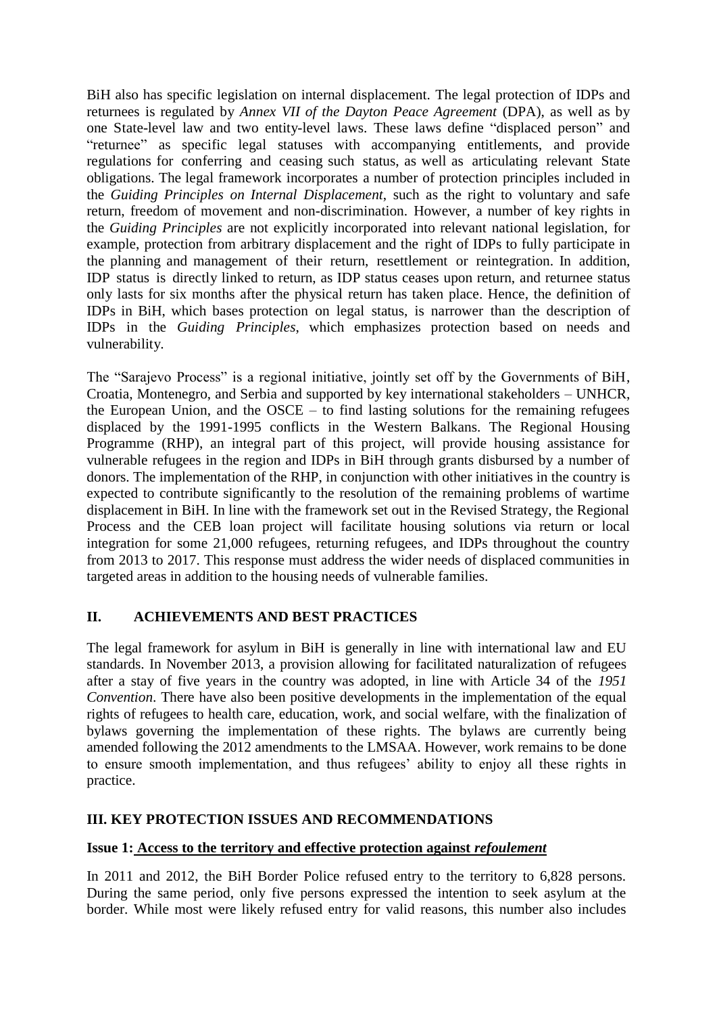BiH also has specific legislation on internal displacement. The legal protection of IDPs and returnees is regulated by *Annex VII of the Dayton Peace Agreement* (DPA), as well as by one State-level law and two entity-level laws. These laws define "displaced person" and "returnee" as specific legal statuses with accompanying entitlements, and provide regulations for conferring and ceasing such status, as well as articulating relevant State obligations. The legal framework incorporates a number of protection principles included in the *Guiding Principles on Internal Displacement*, such as the right to voluntary and safe return, freedom of movement and non-discrimination. However, a number of key rights in the *Guiding Principles* are not explicitly incorporated into relevant national legislation, for example, protection from arbitrary displacement and the right of IDPs to fully participate in the planning and management of their return, resettlement or reintegration. In addition, IDP status is directly linked to return, as IDP status ceases upon return, and returnee status only lasts for six months after the physical return has taken place. Hence, the definition of IDPs in BiH, which bases protection on legal status, is narrower than the description of IDPs in the *Guiding Principles*, which emphasizes protection based on needs and vulnerability.

The "Sarajevo Process" is a regional initiative, jointly set off by the Governments of BiH, Croatia, Montenegro, and Serbia and supported by key international stakeholders – UNHCR, the European Union, and the OSCE – to find lasting solutions for the remaining refugees displaced by the 1991-1995 conflicts in the Western Balkans. The Regional Housing Programme (RHP), an integral part of this project, will provide housing assistance for vulnerable refugees in the region and IDPs in BiH through grants disbursed by a number of donors. The implementation of the RHP, in conjunction with other initiatives in the country is expected to contribute significantly to the resolution of the remaining problems of wartime displacement in BiH. In line with the framework set out in the Revised Strategy, the Regional Process and the CEB loan project will facilitate housing solutions via return or local integration for some 21,000 refugees, returning refugees, and IDPs throughout the country from 2013 to 2017. This response must address the wider needs of displaced communities in targeted areas in addition to the housing needs of vulnerable families.

# **II. ACHIEVEMENTS AND BEST PRACTICES**

The legal framework for asylum in BiH is generally in line with international law and EU standards. In November 2013, a provision allowing for facilitated naturalization of refugees after a stay of five years in the country was adopted, in line with Article 34 of the *1951 Convention*. There have also been positive developments in the implementation of the equal rights of refugees to health care, education, work, and social welfare, with the finalization of bylaws governing the implementation of these rights. The bylaws are currently being amended following the 2012 amendments to the LMSAA. However, work remains to be done to ensure smooth implementation, and thus refugees' ability to enjoy all these rights in practice.

#### **III. KEY PROTECTION ISSUES AND RECOMMENDATIONS**

#### **Issue 1: Access to the territory and effective protection against** *refoulement*

In 2011 and 2012, the BiH Border Police refused entry to the territory to 6,828 persons. During the same period, only five persons expressed the intention to seek asylum at the border. While most were likely refused entry for valid reasons, this number also includes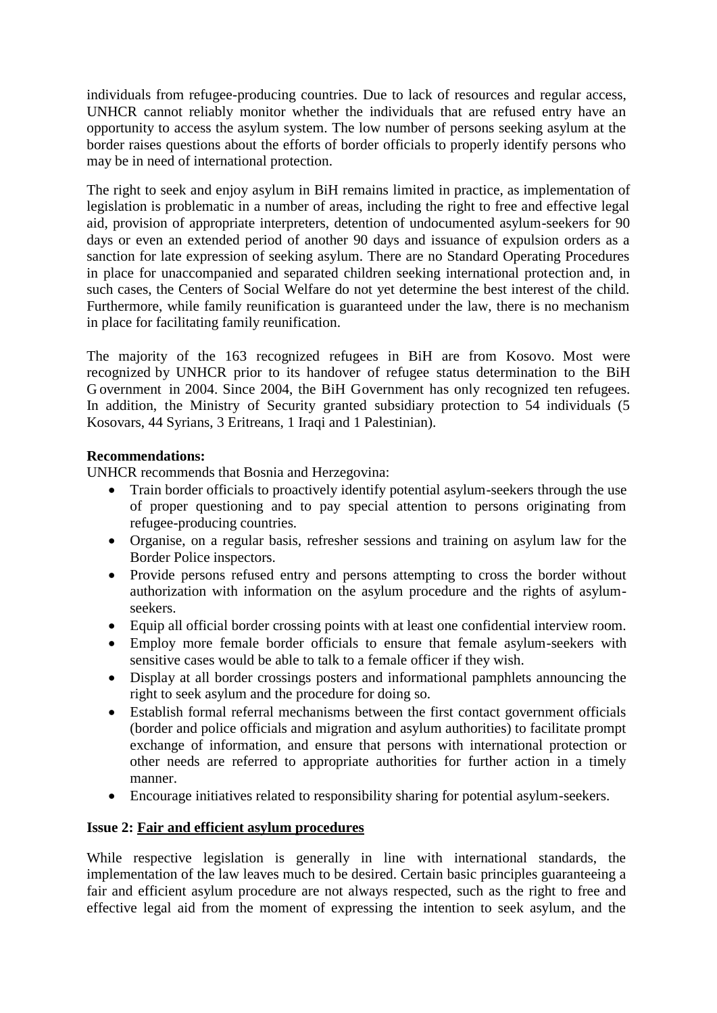individuals from refugee-producing countries. Due to lack of resources and regular access, UNHCR cannot reliably monitor whether the individuals that are refused entry have an opportunity to access the asylum system. The low number of persons seeking asylum at the border raises questions about the efforts of border officials to properly identify persons who may be in need of international protection.

The right to seek and enjoy asylum in BiH remains limited in practice, as implementation of legislation is problematic in a number of areas, including the right to free and effective legal aid, provision of appropriate interpreters, detention of undocumented asylum-seekers for 90 days or even an extended period of another 90 days and issuance of expulsion orders as a sanction for late expression of seeking asylum. There are no Standard Operating Procedures in place for unaccompanied and separated children seeking international protection and, in such cases, the Centers of Social Welfare do not yet determine the best interest of the child. Furthermore, while family reunification is guaranteed under the law, there is no mechanism in place for facilitating family reunification.

The majority of the 163 recognized refugees in BiH are from Kosovo. Most were recognized by UNHCR prior to its handover of refugee status determination to the BiH G overnment in 2004. Since 2004, the BiH Government has only recognized ten refugees. In addition, the Ministry of Security granted subsidiary protection to 54 individuals (5 Kosovars, 44 Syrians, 3 Eritreans, 1 Iraqi and 1 Palestinian).

#### **Recommendations:**

UNHCR recommends that Bosnia and Herzegovina:

- Train border officials to proactively identify potential asylum-seekers through the use of proper questioning and to pay special attention to persons originating from refugee-producing countries.
- Organise, on a regular basis, refresher sessions and training on asylum law for the Border Police inspectors.
- Provide persons refused entry and persons attempting to cross the border without authorization with information on the asylum procedure and the rights of asylumseekers.
- Equip all official border crossing points with at least one confidential interview room.
- Employ more female border officials to ensure that female asylum-seekers with sensitive cases would be able to talk to a female officer if they wish.
- Display at all border crossings posters and informational pamphlets announcing the right to seek asylum and the procedure for doing so.
- Establish formal referral mechanisms between the first contact government officials (border and police officials and migration and asylum authorities) to facilitate prompt exchange of information, and ensure that persons with international protection or other needs are referred to appropriate authorities for further action in a timely manner.
- Encourage initiatives related to responsibility sharing for potential asylum-seekers.

# **Issue 2: Fair and efficient asylum procedures**

While respective legislation is generally in line with international standards, the implementation of the law leaves much to be desired. Certain basic principles guaranteeing a fair and efficient asylum procedure are not always respected, such as the right to free and effective legal aid from the moment of expressing the intention to seek asylum, and the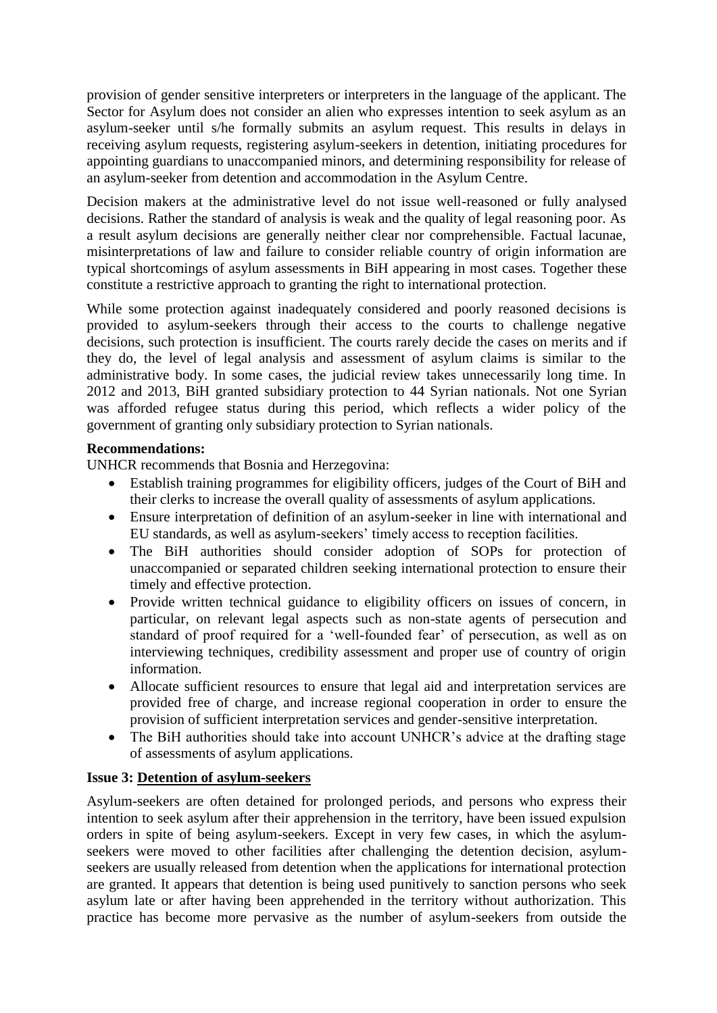provision of gender sensitive interpreters or interpreters in the language of the applicant. The Sector for Asylum does not consider an alien who expresses intention to seek asylum as an asylum-seeker until s/he formally submits an asylum request. This results in delays in receiving asylum requests, registering asylum-seekers in detention, initiating procedures for appointing guardians to unaccompanied minors, and determining responsibility for release of an asylum-seeker from detention and accommodation in the Asylum Centre.

Decision makers at the administrative level do not issue well-reasoned or fully analysed decisions. Rather the standard of analysis is weak and the quality of legal reasoning poor. As a result asylum decisions are generally neither clear nor comprehensible. Factual lacunae, misinterpretations of law and failure to consider reliable country of origin information are typical shortcomings of asylum assessments in BiH appearing in most cases. Together these constitute a restrictive approach to granting the right to international protection.

While some protection against inadequately considered and poorly reasoned decisions is provided to asylum-seekers through their access to the courts to challenge negative decisions, such protection is insufficient. The courts rarely decide the cases on merits and if they do, the level of legal analysis and assessment of asylum claims is similar to the administrative body. In some cases, the judicial review takes unnecessarily long time. In 2012 and 2013, BiH granted subsidiary protection to 44 Syrian nationals. Not one Syrian was afforded refugee status during this period, which reflects a wider policy of the government of granting only subsidiary protection to Syrian nationals.

#### **Recommendations:**

UNHCR recommends that Bosnia and Herzegovina:

- Establish training programmes for eligibility officers, judges of the Court of BiH and their clerks to increase the overall quality of assessments of asylum applications.
- Ensure interpretation of definition of an asylum-seeker in line with international and EU standards, as well as asylum-seekers' timely access to reception facilities.
- The BiH authorities should consider adoption of SOPs for protection of unaccompanied or separated children seeking international protection to ensure their timely and effective protection.
- Provide written technical guidance to eligibility officers on issues of concern, in particular, on relevant legal aspects such as non-state agents of persecution and standard of proof required for a 'well-founded fear' of persecution, as well as on interviewing techniques, credibility assessment and proper use of country of origin information.
- Allocate sufficient resources to ensure that legal aid and interpretation services are provided free of charge, and increase regional cooperation in order to ensure the provision of sufficient interpretation services and gender-sensitive interpretation.
- The BiH authorities should take into account UNHCR's advice at the drafting stage of assessments of asylum applications.

#### **Issue 3: Detention of asylum-seekers**

Asylum-seekers are often detained for prolonged periods, and persons who express their intention to seek asylum after their apprehension in the territory, have been issued expulsion orders in spite of being asylum-seekers. Except in very few cases, in which the asylumseekers were moved to other facilities after challenging the detention decision, asylumseekers are usually released from detention when the applications for international protection are granted. It appears that detention is being used punitively to sanction persons who seek asylum late or after having been apprehended in the territory without authorization. This practice has become more pervasive as the number of asylum-seekers from outside the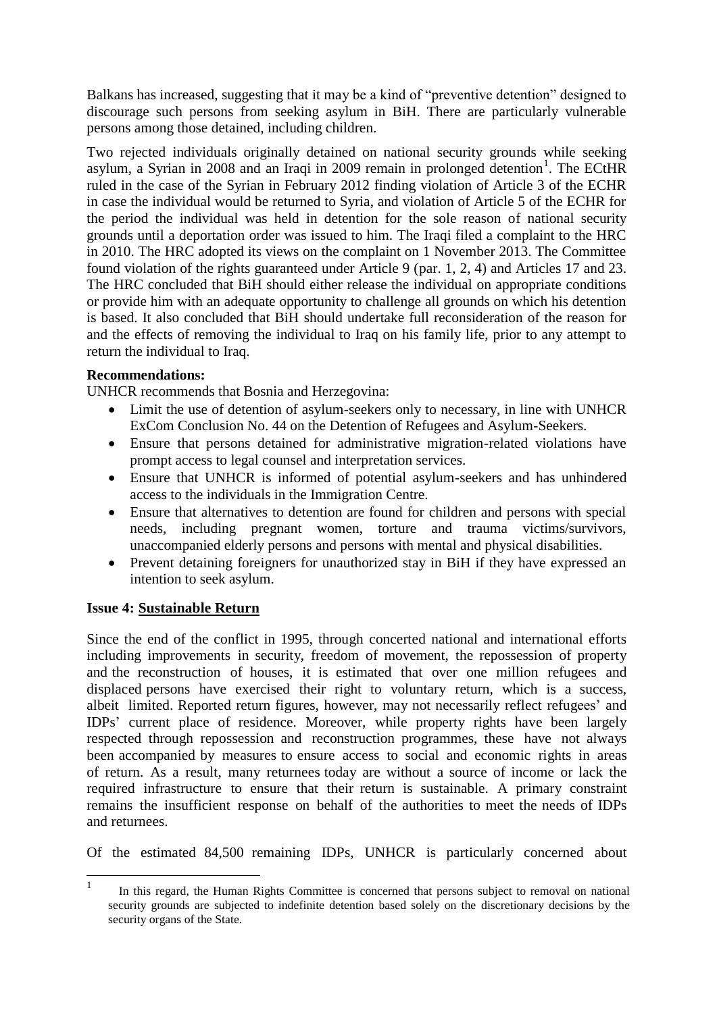Balkans has increased, suggesting that it may be a kind of "preventive detention" designed to discourage such persons from seeking asylum in BiH. There are particularly vulnerable persons among those detained, including children.

Two rejected individuals originally detained on national security grounds while seeking asylum, a Syrian in 2008 and an Iraqi in 2009 remain in prolonged detention<sup>1</sup>. The ECtHR ruled in the case of the Syrian in February 2012 finding violation of Article 3 of the ECHR in case the individual would be returned to Syria, and violation of Article 5 of the ECHR for the period the individual was held in detention for the sole reason of national security grounds until a deportation order was issued to him. The Iraqi filed a complaint to the HRC in 2010. The HRC adopted its views on the complaint on 1 November 2013. The Committee found violation of the rights guaranteed under Article 9 (par. 1, 2, 4) and Articles 17 and 23. The HRC concluded that BiH should either release the individual on appropriate conditions or provide him with an adequate opportunity to challenge all grounds on which his detention is based. It also concluded that BiH should undertake full reconsideration of the reason for and the effects of removing the individual to Iraq on his family life, prior to any attempt to return the individual to Iraq.

#### **Recommendations:**

UNHCR recommends that Bosnia and Herzegovina:

- Limit the use of detention of asylum-seekers only to necessary, in line with UNHCR ExCom Conclusion No. 44 on the Detention of Refugees and Asylum-Seekers.
- Ensure that persons detained for administrative migration-related violations have prompt access to legal counsel and interpretation services.
- Ensure that UNHCR is informed of potential asylum-seekers and has unhindered access to the individuals in the Immigration Centre.
- Ensure that alternatives to detention are found for children and persons with special needs, including pregnant women, torture and trauma victims/survivors, unaccompanied elderly persons and persons with mental and physical disabilities.
- Prevent detaining foreigners for unauthorized stay in BiH if they have expressed an intention to seek asylum.

#### **Issue 4: Sustainable Return**

Since the end of the conflict in 1995, through concerted national and international efforts including improvements in security, freedom of movement, the repossession of property and the reconstruction of houses, it is estimated that over one million refugees and displaced persons have exercised their right to voluntary return, which is a success, albeit limited. Reported return figures, however, may not necessarily reflect refugees' and IDPs' current place of residence. Moreover, while property rights have been largely respected through repossession and reconstruction programmes, these have not always been accompanied by measures to ensure access to social and economic rights in areas of return. As a result, many returnees today are without a source of income or lack the required infrastructure to ensure that their return is sustainable. A primary constraint remains the insufficient response on behalf of the authorities to meet the needs of IDPs and returnees.

Of the estimated 84,500 remaining IDPs, UNHCR is particularly concerned about

 $\frac{1}{1}$  In this regard, the Human Rights Committee is concerned that persons subject to removal on national security grounds are subjected to indefinite detention based solely on the discretionary decisions by the security organs of the State.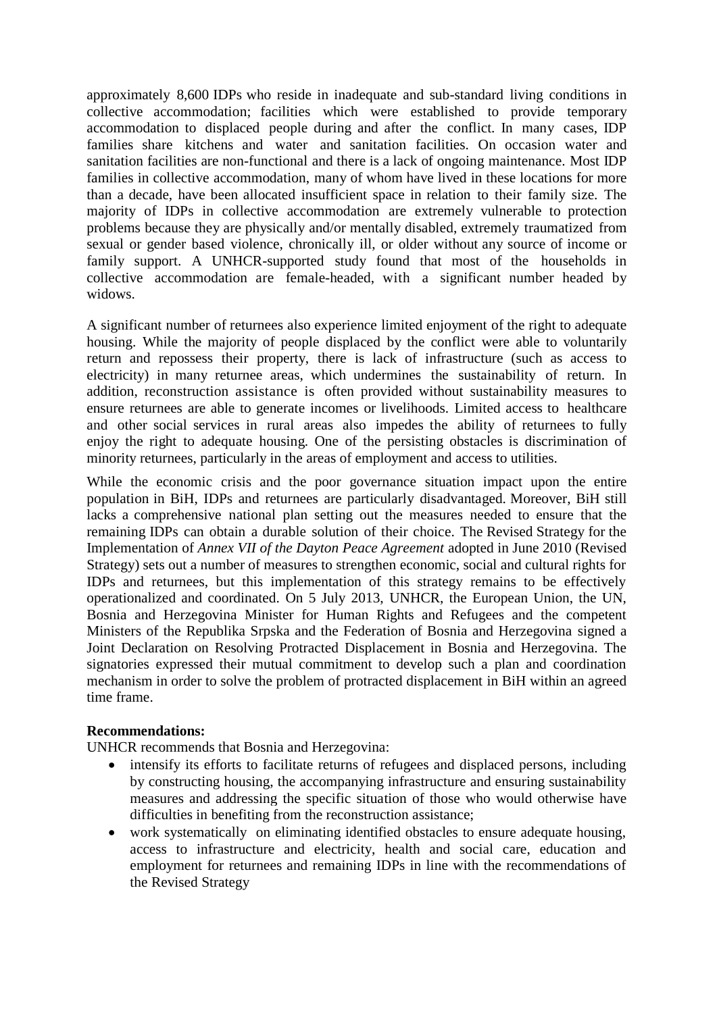approximately 8,600 IDPs who reside in inadequate and sub-standard living conditions in collective accommodation; facilities which were established to provide temporary accommodation to displaced people during and after the conflict. In many cases, IDP families share kitchens and water and sanitation facilities. On occasion water and sanitation facilities are non-functional and there is a lack of ongoing maintenance. Most IDP families in collective accommodation, many of whom have lived in these locations for more than a decade, have been allocated insufficient space in relation to their family size. The majority of IDPs in collective accommodation are extremely vulnerable to protection problems because they are physically and/or mentally disabled, extremely traumatized from sexual or gender based violence, chronically ill, or older without any source of income or family support. A UNHCR-supported study found that most of the households in collective accommodation are female-headed, with a significant number headed by widows.

A significant number of returnees also experience limited enjoyment of the right to adequate housing. While the majority of people displaced by the conflict were able to voluntarily return and repossess their property, there is lack of infrastructure (such as access to electricity) in many returnee areas, which undermines the sustainability of return. In addition, reconstruction assistance is often provided without sustainability measures to ensure returnees are able to generate incomes or livelihoods. Limited access to healthcare and other social services in rural areas also impedes the ability of returnees to fully enjoy the right to adequate housing. One of the persisting obstacles is discrimination of minority returnees, particularly in the areas of employment and access to utilities.

While the economic crisis and the poor governance situation impact upon the entire population in BiH, IDPs and returnees are particularly disadvantaged. Moreover, BiH still lacks a comprehensive national plan setting out the measures needed to ensure that the remaining IDPs can obtain a durable solution of their choice. The Revised Strategy for the Implementation of *Annex VII of the Dayton Peace Agreement* adopted in June 2010 (Revised Strategy) sets out a number of measures to strengthen economic, social and cultural rights for IDPs and returnees, but this implementation of this strategy remains to be effectively operationalized and coordinated. On 5 July 2013, UNHCR, the European Union, the UN, Bosnia and Herzegovina Minister for Human Rights and Refugees and the competent Ministers of the Republika Srpska and the Federation of Bosnia and Herzegovina signed a Joint Declaration on Resolving Protracted Displacement in Bosnia and Herzegovina. The signatories expressed their mutual commitment to develop such a plan and coordination mechanism in order to solve the problem of protracted displacement in BiH within an agreed time frame.

#### **Recommendations:**

UNHCR recommends that Bosnia and Herzegovina:

- intensify its efforts to facilitate returns of refugees and displaced persons, including by constructing housing, the accompanying infrastructure and ensuring sustainability measures and addressing the specific situation of those who would otherwise have difficulties in benefiting from the reconstruction assistance;
- work systematically on eliminating identified obstacles to ensure adequate housing, access to infrastructure and electricity, health and social care, education and employment for returnees and remaining IDPs in line with the recommendations of the Revised Strategy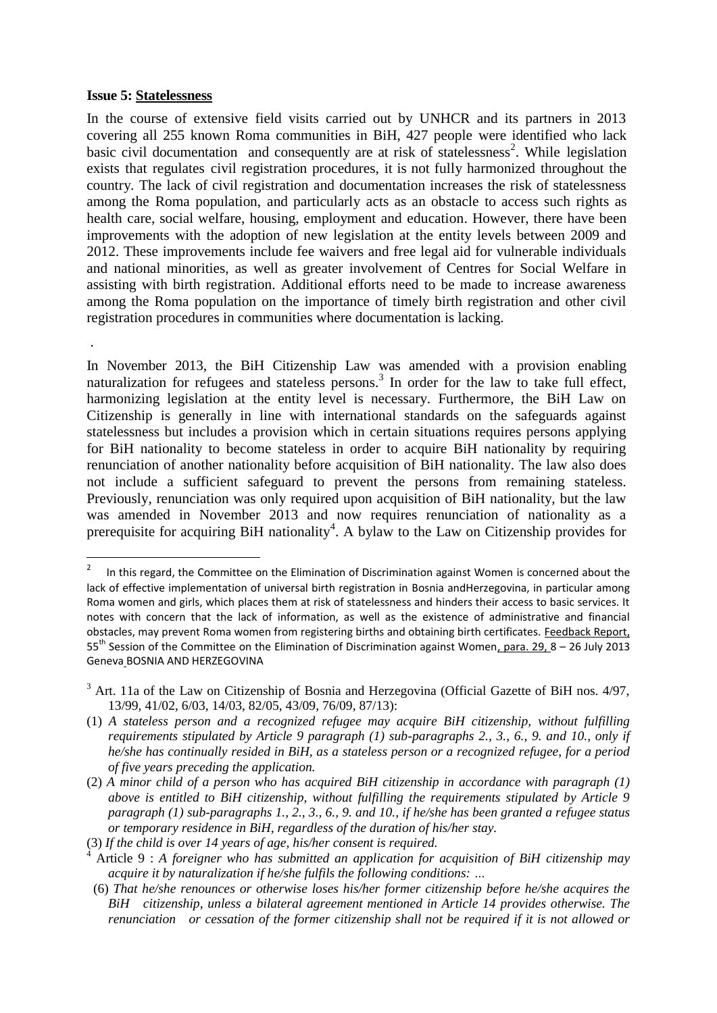#### **Issue 5: Statelessness**

.

In the course of extensive field visits carried out by UNHCR and its partners in 2013 covering all 255 known Roma communities in BiH, 427 people were identified who lack basic civil documentation and consequently are at risk of statelessness<sup>2</sup>. While legislation exists that regulates civil registration procedures, it is not fully harmonized throughout the country. The lack of civil registration and documentation increases the risk of statelessness among the Roma population, and particularly acts as an obstacle to access such rights as health care, social welfare, housing, employment and education. However, there have been improvements with the adoption of new legislation at the entity levels between 2009 and 2012. These improvements include fee waivers and free legal aid for vulnerable individuals and national minorities, as well as greater involvement of Centres for Social Welfare in assisting with birth registration. Additional efforts need to be made to increase awareness among the Roma population on the importance of timely birth registration and other civil registration procedures in communities where documentation is lacking.

In November 2013, the BiH Citizenship Law was amended with a provision enabling naturalization for refugees and stateless persons.<sup>3</sup> In order for the law to take full effect, harmonizing legislation at the entity level is necessary. Furthermore, the BiH Law on Citizenship is generally in line with international standards on the safeguards against statelessness but includes a provision which in certain situations requires persons applying for BiH nationality to become stateless in order to acquire BiH nationality by requiring renunciation of another nationality before acquisition of BiH nationality. The law also does not include a sufficient safeguard to prevent the persons from remaining stateless. Previously, renunciation was only required upon acquisition of BiH nationality, but the law was amended in November 2013 and now requires renunciation of nationality as a prerequisite for acquiring BiH nationality<sup>4</sup>. A bylaw to the Law on Citizenship provides for

 $\frac{1}{2}$  In this regard, the Committee on the Elimination of Discrimination against Women is concerned about the lack of effective implementation of universal birth registration in Bosnia andHerzegovina, in particular among Roma women and girls, which places them at risk of statelessness and hinders their access to basic services. It notes with concern that the lack of information, as well as the existence of administrative and financial obstacles, may prevent Roma women from registering births and obtaining birth certificates. Feedback Report, 55th Session of the Committee on the Elimination of Discrimination against Women, para. 29, 8 – 26 July 2013 Geneva BOSNIA AND HERZEGOVINA

<sup>&</sup>lt;sup>3</sup> Art. 11a of the Law on Citizenship of Bosnia and Herzegovina (Official Gazette of BiH nos. 4/97, 13/99, 41/02, 6/03, 14/03, 82/05, 43/09, 76/09, 87/13):

<sup>(1)</sup> *A stateless person and a recognized refugee may acquire BiH citizenship, without fulfilling requirements stipulated by Article 9 paragraph (1) sub-paragraphs 2., 3., 6., 9. and 10., only if he/she has continually resided in BiH, as a stateless person or a recognized refugee, for a period of five years preceding the application.*

<sup>(2)</sup> *A minor child of a person who has acquired BiH citizenship in accordance with paragraph (1) above is entitled to BiH citizenship, without fulfilling the requirements stipulated by Article 9 paragraph (1) sub-paragraphs 1., 2., 3., 6., 9. and 10., if he/she has been granted a refugee status or temporary residence in BiH, regardless of the duration of his/her stay.*

<sup>(3)</sup> *If the child is over 14 years of age, his/her consent is required.*

<sup>4</sup> Article 9 : *A foreigner who has submitted an application for acquisition of BiH citizenship may acquire it by naturalization if he/she fulfils the following conditions: …*

 <sup>(6)</sup> *That he/she renounces or otherwise loses his/her former citizenship before he/she acquires the BiH citizenship, unless a bilateral agreement mentioned in Article 14 provides otherwise. The renunciation or cessation of the former citizenship shall not be required if it is not allowed or*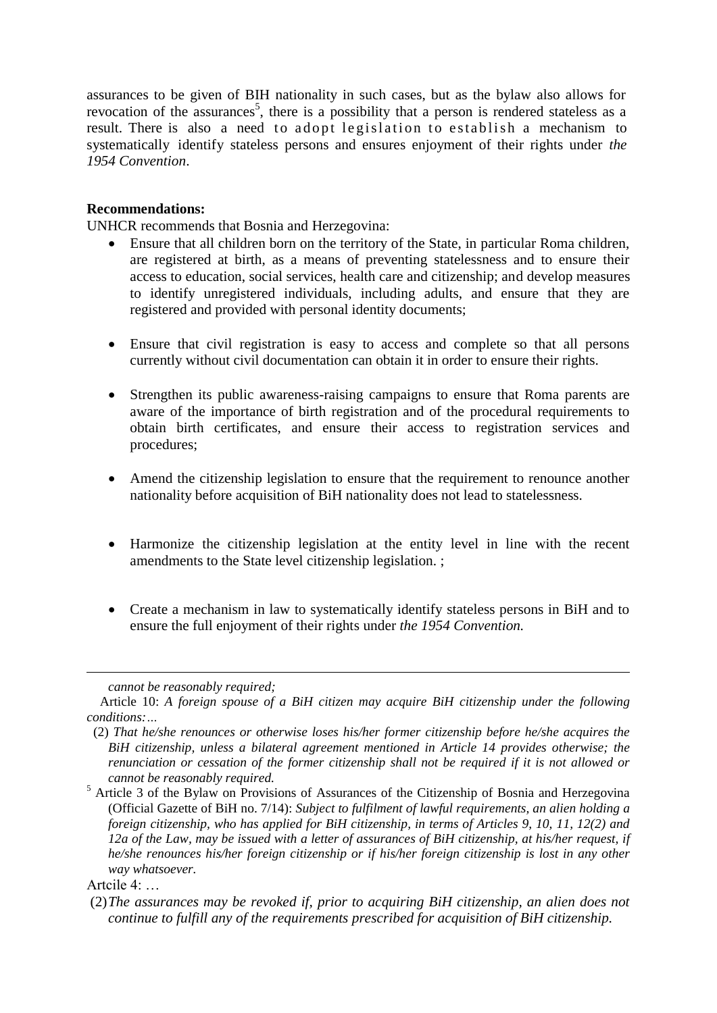assurances to be given of BIH nationality in such cases, but as the bylaw also allows for revocation of the assurances<sup>5</sup>, there is a possibility that a person is rendered stateless as a result. There is also a need to adopt legislation to establish a mechanism to systematically identify stateless persons and ensures enjoyment of their rights under *the 1954 Convention*.

#### **Recommendations:**

UNHCR recommends that Bosnia and Herzegovina:

- Ensure that all children born on the territory of the State, in particular Roma children, are registered at birth, as a means of preventing statelessness and to ensure their access to education, social services, health care and citizenship; and develop measures to identify unregistered individuals, including adults, and ensure that they are registered and provided with personal identity documents;
- Ensure that civil registration is easy to access and complete so that all persons currently without civil documentation can obtain it in order to ensure their rights.
- Strengthen its public awareness-raising campaigns to ensure that Roma parents are aware of the importance of birth registration and of the procedural requirements to obtain birth certificates, and ensure their access to registration services and procedures;
- Amend the citizenship legislation to ensure that the requirement to renounce another nationality before acquisition of BiH nationality does not lead to statelessness.
- Harmonize the citizenship legislation at the entity level in line with the recent amendments to the State level citizenship legislation. ;
- Create a mechanism in law to systematically identify stateless persons in BiH and to ensure the full enjoyment of their rights under *the 1954 Convention.*

1

*cannot be reasonably required;*

Article 10: *A foreign spouse of a BiH citizen may acquire BiH citizenship under the following conditions:…*

 <sup>(2)</sup> *That he/she renounces or otherwise loses his/her former citizenship before he/she acquires the BiH citizenship, unless a bilateral agreement mentioned in Article 14 provides otherwise; the renunciation or cessation of the former citizenship shall not be required if it is not allowed or cannot be reasonably required.*

<sup>5</sup> Article 3 of the Bylaw on Provisions of Assurances of the Citizenship of Bosnia and Herzegovina (Official Gazette of BiH no. 7/14): *Subject to fulfilment of lawful requirements, an alien holding a foreign citizenship, who has applied for BiH citizenship, in terms of Articles 9, 10, 11, 12(2) and 12a of the Law, may be issued with a letter of assurances of BiH citizenship, at his/her request, if he/she renounces his/her foreign citizenship or if his/her foreign citizenship is lost in any other way whatsoever.*

Artcile  $4$ 

<sup>(2)</sup>*The assurances may be revoked if, prior to acquiring BiH citizenship, an alien does not continue to fulfill any of the requirements prescribed for acquisition of BiH citizenship.*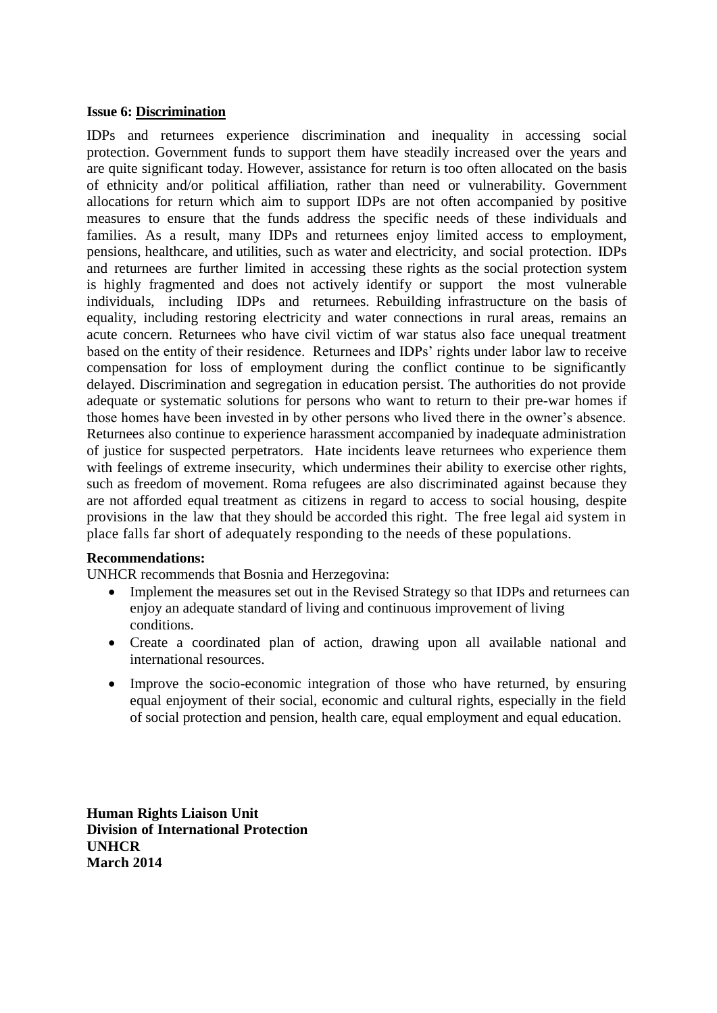#### **Issue 6: Discrimination**

IDPs and returnees experience discrimination and inequality in accessing social protection. Government funds to support them have steadily increased over the years and are quite significant today. However, assistance for return is too often allocated on the basis of ethnicity and/or political affiliation, rather than need or vulnerability. Government allocations for return which aim to support IDPs are not often accompanied by positive measures to ensure that the funds address the specific needs of these individuals and families. As a result, many IDPs and returnees enjoy limited access to employment, pensions, healthcare, and utilities, such as water and electricity, and social protection. IDPs and returnees are further limited in accessing these rights as the social protection system is highly fragmented and does not actively identify or support the most vulnerable individuals, including IDPs and returnees. Rebuilding infrastructure on the basis of equality, including restoring electricity and water connections in rural areas, remains an acute concern. Returnees who have civil victim of war status also face unequal treatment based on the entity of their residence. Returnees and IDPs' rights under labor law to receive compensation for loss of employment during the conflict continue to be significantly delayed. Discrimination and segregation in education persist. The authorities do not provide adequate or systematic solutions for persons who want to return to their pre-war homes if those homes have been invested in by other persons who lived there in the owner's absence. Returnees also continue to experience harassment accompanied by inadequate administration of justice for suspected perpetrators. Hate incidents leave returnees who experience them with feelings of extreme insecurity, which undermines their ability to exercise other rights, such as freedom of movement. Roma refugees are also discriminated against because they are not afforded equal treatment as citizens in regard to access to social housing, despite provisions in the law that they should be accorded this right. The free legal aid system in place falls far short of adequately responding to the needs of these populations.

#### **Recommendations:**

UNHCR recommends that Bosnia and Herzegovina:

- Implement the measures set out in the Revised Strategy so that IDPs and returnees can enjoy an adequate standard of living and continuous improvement of living conditions.
- Create a coordinated plan of action, drawing upon all available national and international resources.
- Improve the socio-economic integration of those who have returned, by ensuring equal enjoyment of their social, economic and cultural rights, especially in the field of social protection and pension, health care, equal employment and equal education.

**Human Rights Liaison Unit Division of International Protection UNHCR March 2014**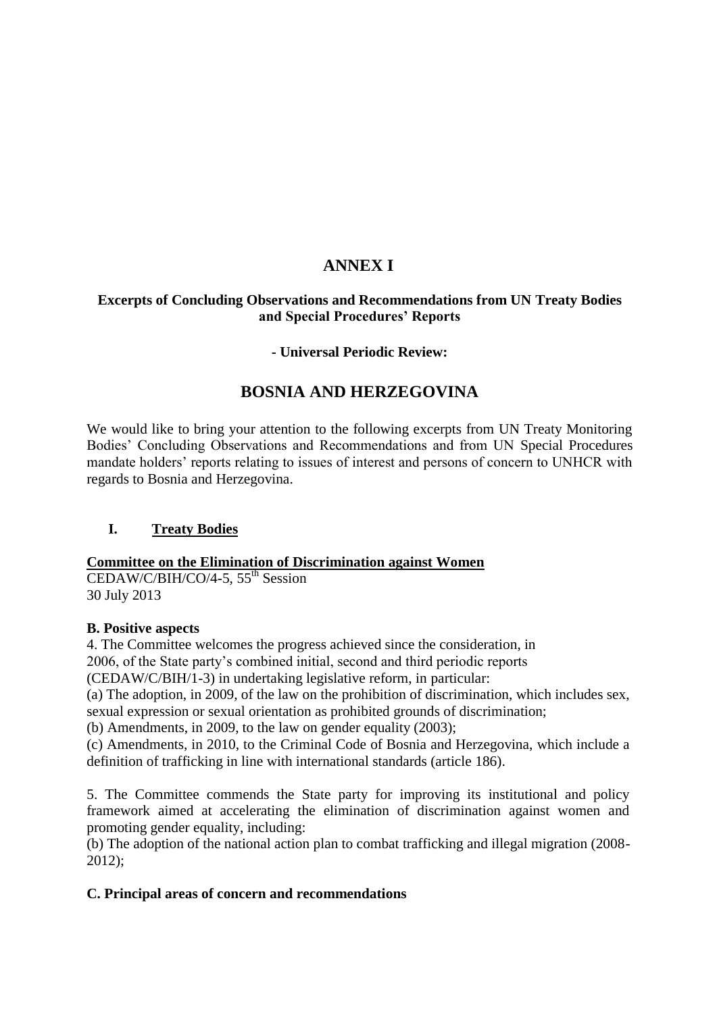# **ANNEX I**

# **Excerpts of Concluding Observations and Recommendations from UN Treaty Bodies and Special Procedures' Reports**

# **- Universal Periodic Review:**

# **BOSNIA AND HERZEGOVINA**

We would like to bring your attention to the following excerpts from UN Treaty Monitoring Bodies' Concluding Observations and Recommendations and from UN Special Procedures mandate holders' reports relating to issues of interest and persons of concern to UNHCR with regards to Bosnia and Herzegovina.

# **I. Treaty Bodies**

# **Committee on the Elimination of Discrimination against Women**

 $\overline{CEDAW/C/BIH/CO/4-5}$ ,  $55^{\text{th}}$  Session 30 July 2013

#### **B. Positive aspects**

4. The Committee welcomes the progress achieved since the consideration, in 2006, of the State party's combined initial, second and third periodic reports

(CEDAW/C/BIH/1-3) in undertaking legislative reform, in particular:

(a) The adoption, in 2009, of the law on the prohibition of discrimination, which includes sex, sexual expression or sexual orientation as prohibited grounds of discrimination;

(b) Amendments, in 2009, to the law on gender equality (2003);

(c) Amendments, in 2010, to the Criminal Code of Bosnia and Herzegovina, which include a definition of trafficking in line with international standards (article 186).

5. The Committee commends the State party for improving its institutional and policy framework aimed at accelerating the elimination of discrimination against women and promoting gender equality, including:

(b) The adoption of the national action plan to combat trafficking and illegal migration (2008- 2012);

# **C. Principal areas of concern and recommendations**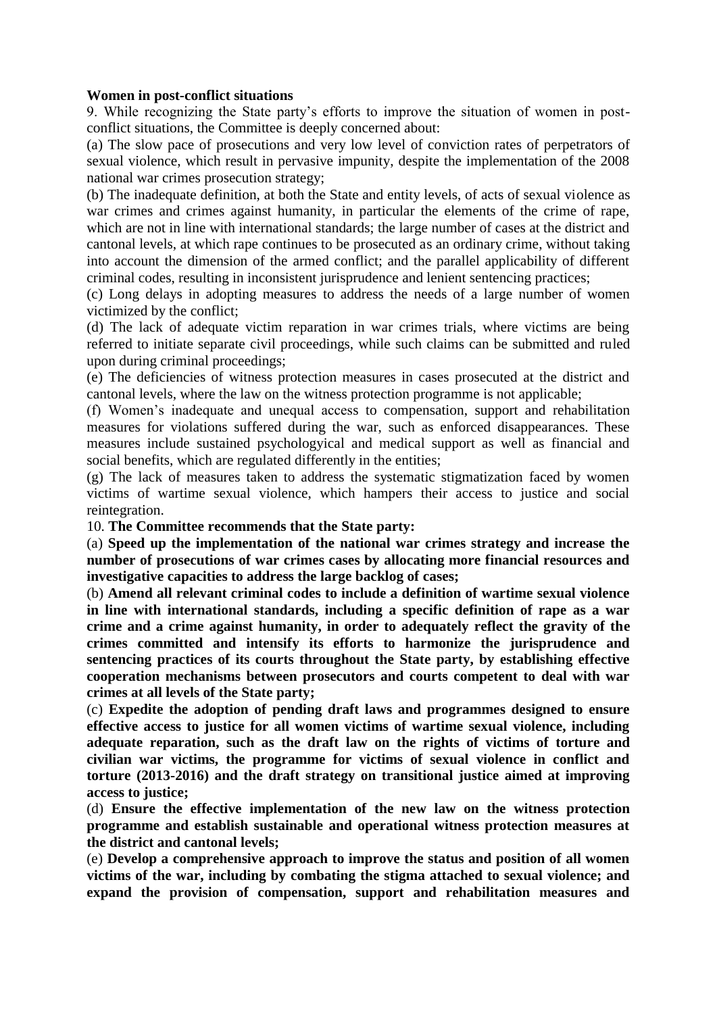#### **Women in post-conflict situations**

9. While recognizing the State party's efforts to improve the situation of women in postconflict situations, the Committee is deeply concerned about:

(a) The slow pace of prosecutions and very low level of conviction rates of perpetrators of sexual violence, which result in pervasive impunity, despite the implementation of the 2008 national war crimes prosecution strategy;

(b) The inadequate definition, at both the State and entity levels, of acts of sexual violence as war crimes and crimes against humanity, in particular the elements of the crime of rape, which are not in line with international standards; the large number of cases at the district and cantonal levels, at which rape continues to be prosecuted as an ordinary crime, without taking into account the dimension of the armed conflict; and the parallel applicability of different criminal codes, resulting in inconsistent jurisprudence and lenient sentencing practices;

(c) Long delays in adopting measures to address the needs of a large number of women victimized by the conflict;

(d) The lack of adequate victim reparation in war crimes trials, where victims are being referred to initiate separate civil proceedings, while such claims can be submitted and ruled upon during criminal proceedings;

(e) The deficiencies of witness protection measures in cases prosecuted at the district and cantonal levels, where the law on the witness protection programme is not applicable;

(f) Women's inadequate and unequal access to compensation, support and rehabilitation measures for violations suffered during the war, such as enforced disappearances. These measures include sustained psychologyical and medical support as well as financial and social benefits, which are regulated differently in the entities;

(g) The lack of measures taken to address the systematic stigmatization faced by women victims of wartime sexual violence, which hampers their access to justice and social reintegration.

10. **The Committee recommends that the State party:**

(a) **Speed up the implementation of the national war crimes strategy and increase the number of prosecutions of war crimes cases by allocating more financial resources and investigative capacities to address the large backlog of cases;**

(b) **Amend all relevant criminal codes to include a definition of wartime sexual violence in line with international standards, including a specific definition of rape as a war crime and a crime against humanity, in order to adequately reflect the gravity of the crimes committed and intensify its efforts to harmonize the jurisprudence and sentencing practices of its courts throughout the State party, by establishing effective cooperation mechanisms between prosecutors and courts competent to deal with war crimes at all levels of the State party;**

(c) **Expedite the adoption of pending draft laws and programmes designed to ensure effective access to justice for all women victims of wartime sexual violence, including adequate reparation, such as the draft law on the rights of victims of torture and civilian war victims, the programme for victims of sexual violence in conflict and torture (2013-2016) and the draft strategy on transitional justice aimed at improving access to justice;**

(d) **Ensure the effective implementation of the new law on the witness protection programme and establish sustainable and operational witness protection measures at the district and cantonal levels;**

(e) **Develop a comprehensive approach to improve the status and position of all women victims of the war, including by combating the stigma attached to sexual violence; and expand the provision of compensation, support and rehabilitation measures and**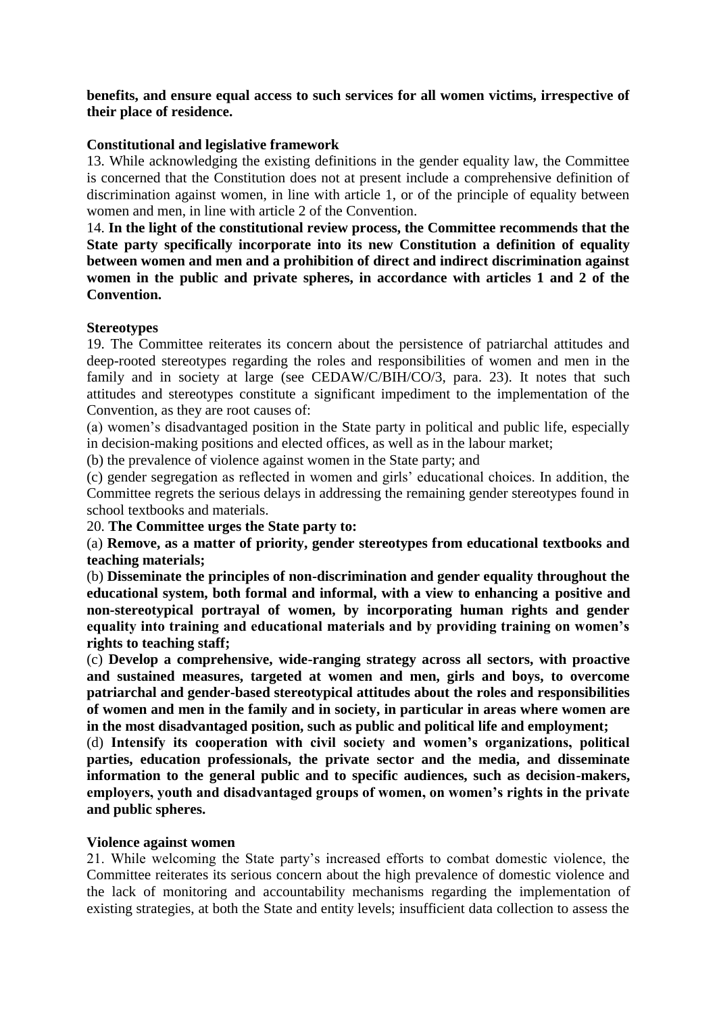#### **benefits, and ensure equal access to such services for all women victims, irrespective of their place of residence.**

#### **Constitutional and legislative framework**

13. While acknowledging the existing definitions in the gender equality law, the Committee is concerned that the Constitution does not at present include a comprehensive definition of discrimination against women, in line with article 1, or of the principle of equality between women and men, in line with article 2 of the Convention.

14. **In the light of the constitutional review process, the Committee recommends that the State party specifically incorporate into its new Constitution a definition of equality between women and men and a prohibition of direct and indirect discrimination against women in the public and private spheres, in accordance with articles 1 and 2 of the Convention.**

#### **Stereotypes**

19. The Committee reiterates its concern about the persistence of patriarchal attitudes and deep-rooted stereotypes regarding the roles and responsibilities of women and men in the family and in society at large (see CEDAW/C/BIH/CO/3, para. 23). It notes that such attitudes and stereotypes constitute a significant impediment to the implementation of the Convention, as they are root causes of:

(a) women's disadvantaged position in the State party in political and public life, especially in decision-making positions and elected offices, as well as in the labour market;

(b) the prevalence of violence against women in the State party; and

(c) gender segregation as reflected in women and girls' educational choices. In addition, the Committee regrets the serious delays in addressing the remaining gender stereotypes found in school textbooks and materials.

20. **The Committee urges the State party to:**

(a) **Remove, as a matter of priority, gender stereotypes from educational textbooks and teaching materials;**

(b) **Disseminate the principles of non-discrimination and gender equality throughout the educational system, both formal and informal, with a view to enhancing a positive and non-stereotypical portrayal of women, by incorporating human rights and gender equality into training and educational materials and by providing training on women's rights to teaching staff;**

(c) **Develop a comprehensive, wide-ranging strategy across all sectors, with proactive and sustained measures, targeted at women and men, girls and boys, to overcome patriarchal and gender-based stereotypical attitudes about the roles and responsibilities of women and men in the family and in society, in particular in areas where women are in the most disadvantaged position, such as public and political life and employment;**

(d) **Intensify its cooperation with civil society and women's organizations, political parties, education professionals, the private sector and the media, and disseminate information to the general public and to specific audiences, such as decision-makers, employers, youth and disadvantaged groups of women, on women's rights in the private and public spheres.**

#### **Violence against women**

21. While welcoming the State party's increased efforts to combat domestic violence, the Committee reiterates its serious concern about the high prevalence of domestic violence and the lack of monitoring and accountability mechanisms regarding the implementation of existing strategies, at both the State and entity levels; insufficient data collection to assess the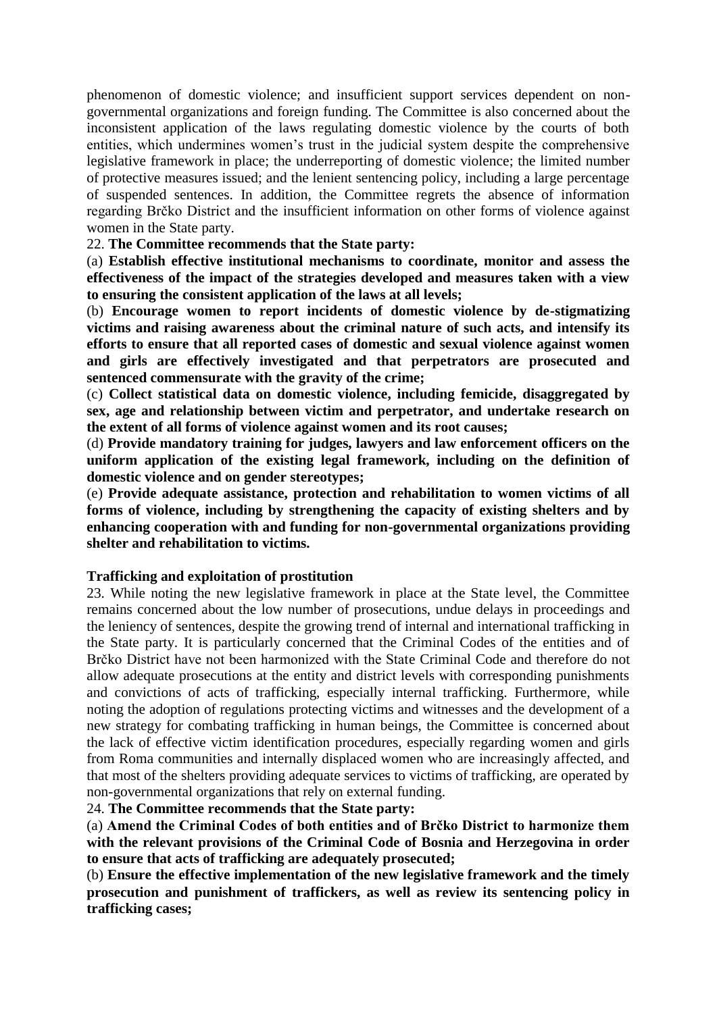phenomenon of domestic violence; and insufficient support services dependent on nongovernmental organizations and foreign funding. The Committee is also concerned about the inconsistent application of the laws regulating domestic violence by the courts of both entities, which undermines women's trust in the judicial system despite the comprehensive legislative framework in place; the underreporting of domestic violence; the limited number of protective measures issued; and the lenient sentencing policy, including a large percentage of suspended sentences. In addition, the Committee regrets the absence of information regarding Brčko District and the insufficient information on other forms of violence against women in the State party.

#### 22. **The Committee recommends that the State party:**

(a) **Establish effective institutional mechanisms to coordinate, monitor and assess the effectiveness of the impact of the strategies developed and measures taken with a view to ensuring the consistent application of the laws at all levels;**

(b) **Encourage women to report incidents of domestic violence by de-stigmatizing victims and raising awareness about the criminal nature of such acts, and intensify its efforts to ensure that all reported cases of domestic and sexual violence against women and girls are effectively investigated and that perpetrators are prosecuted and sentenced commensurate with the gravity of the crime;**

(c) **Collect statistical data on domestic violence, including femicide, disaggregated by sex, age and relationship between victim and perpetrator, and undertake research on the extent of all forms of violence against women and its root causes;**

(d) **Provide mandatory training for judges, lawyers and law enforcement officers on the uniform application of the existing legal framework, including on the definition of domestic violence and on gender stereotypes;**

(e) **Provide adequate assistance, protection and rehabilitation to women victims of all forms of violence, including by strengthening the capacity of existing shelters and by enhancing cooperation with and funding for non-governmental organizations providing shelter and rehabilitation to victims.** 

#### **Trafficking and exploitation of prostitution**

23. While noting the new legislative framework in place at the State level, the Committee remains concerned about the low number of prosecutions, undue delays in proceedings and the leniency of sentences, despite the growing trend of internal and international trafficking in the State party. It is particularly concerned that the Criminal Codes of the entities and of Brčko District have not been harmonized with the State Criminal Code and therefore do not allow adequate prosecutions at the entity and district levels with corresponding punishments and convictions of acts of trafficking, especially internal trafficking. Furthermore, while noting the adoption of regulations protecting victims and witnesses and the development of a new strategy for combating trafficking in human beings, the Committee is concerned about the lack of effective victim identification procedures, especially regarding women and girls from Roma communities and internally displaced women who are increasingly affected, and that most of the shelters providing adequate services to victims of trafficking, are operated by non-governmental organizations that rely on external funding.

24. **The Committee recommends that the State party:**

(a) **Amend the Criminal Codes of both entities and of Brčko District to harmonize them with the relevant provisions of the Criminal Code of Bosnia and Herzegovina in order to ensure that acts of trafficking are adequately prosecuted;**

(b) **Ensure the effective implementation of the new legislative framework and the timely prosecution and punishment of traffickers, as well as review its sentencing policy in trafficking cases;**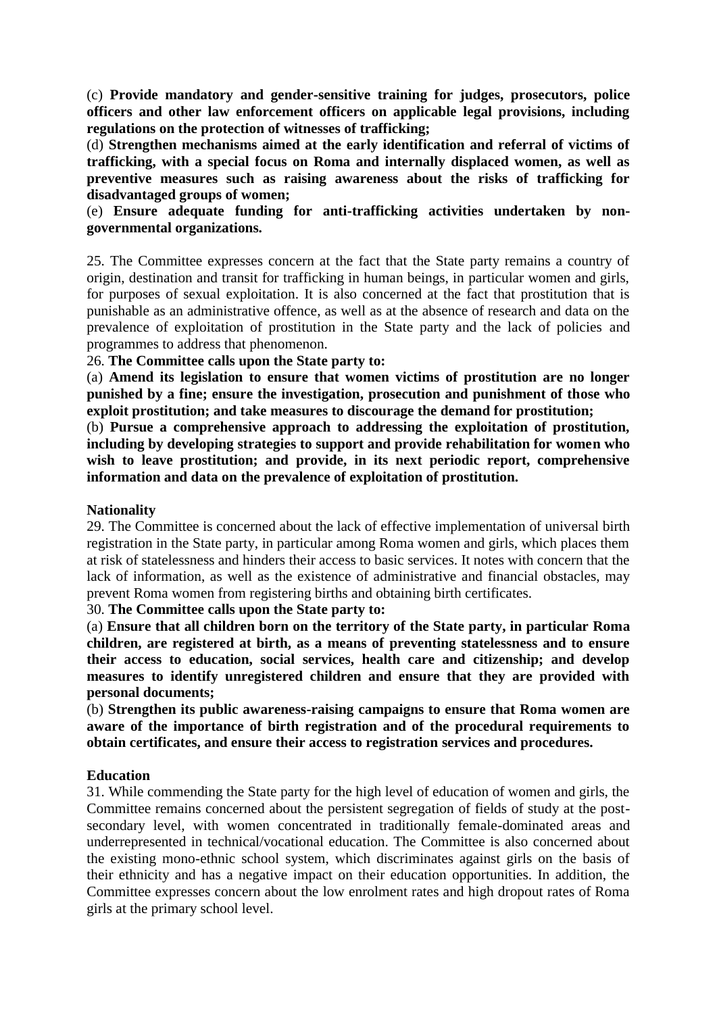(c) **Provide mandatory and gender-sensitive training for judges, prosecutors, police officers and other law enforcement officers on applicable legal provisions, including regulations on the protection of witnesses of trafficking;**

(d) **Strengthen mechanisms aimed at the early identification and referral of victims of trafficking, with a special focus on Roma and internally displaced women, as well as preventive measures such as raising awareness about the risks of trafficking for disadvantaged groups of women;**

(e) **Ensure adequate funding for anti-trafficking activities undertaken by nongovernmental organizations.**

25. The Committee expresses concern at the fact that the State party remains a country of origin, destination and transit for trafficking in human beings, in particular women and girls, for purposes of sexual exploitation. It is also concerned at the fact that prostitution that is punishable as an administrative offence, as well as at the absence of research and data on the prevalence of exploitation of prostitution in the State party and the lack of policies and programmes to address that phenomenon.

26. **The Committee calls upon the State party to:**

(a) **Amend its legislation to ensure that women victims of prostitution are no longer punished by a fine; ensure the investigation, prosecution and punishment of those who exploit prostitution; and take measures to discourage the demand for prostitution;**

(b) **Pursue a comprehensive approach to addressing the exploitation of prostitution, including by developing strategies to support and provide rehabilitation for women who wish to leave prostitution; and provide, in its next periodic report, comprehensive information and data on the prevalence of exploitation of prostitution.**

#### **Nationality**

29. The Committee is concerned about the lack of effective implementation of universal birth registration in the State party, in particular among Roma women and girls, which places them at risk of statelessness and hinders their access to basic services. It notes with concern that the lack of information, as well as the existence of administrative and financial obstacles, may prevent Roma women from registering births and obtaining birth certificates.

30. **The Committee calls upon the State party to:**

(a) **Ensure that all children born on the territory of the State party, in particular Roma children, are registered at birth, as a means of preventing statelessness and to ensure their access to education, social services, health care and citizenship; and develop measures to identify unregistered children and ensure that they are provided with personal documents;**

(b) **Strengthen its public awareness-raising campaigns to ensure that Roma women are aware of the importance of birth registration and of the procedural requirements to obtain certificates, and ensure their access to registration services and procedures.**

#### **Education**

31. While commending the State party for the high level of education of women and girls, the Committee remains concerned about the persistent segregation of fields of study at the postsecondary level, with women concentrated in traditionally female-dominated areas and underrepresented in technical/vocational education. The Committee is also concerned about the existing mono-ethnic school system, which discriminates against girls on the basis of their ethnicity and has a negative impact on their education opportunities. In addition, the Committee expresses concern about the low enrolment rates and high dropout rates of Roma girls at the primary school level.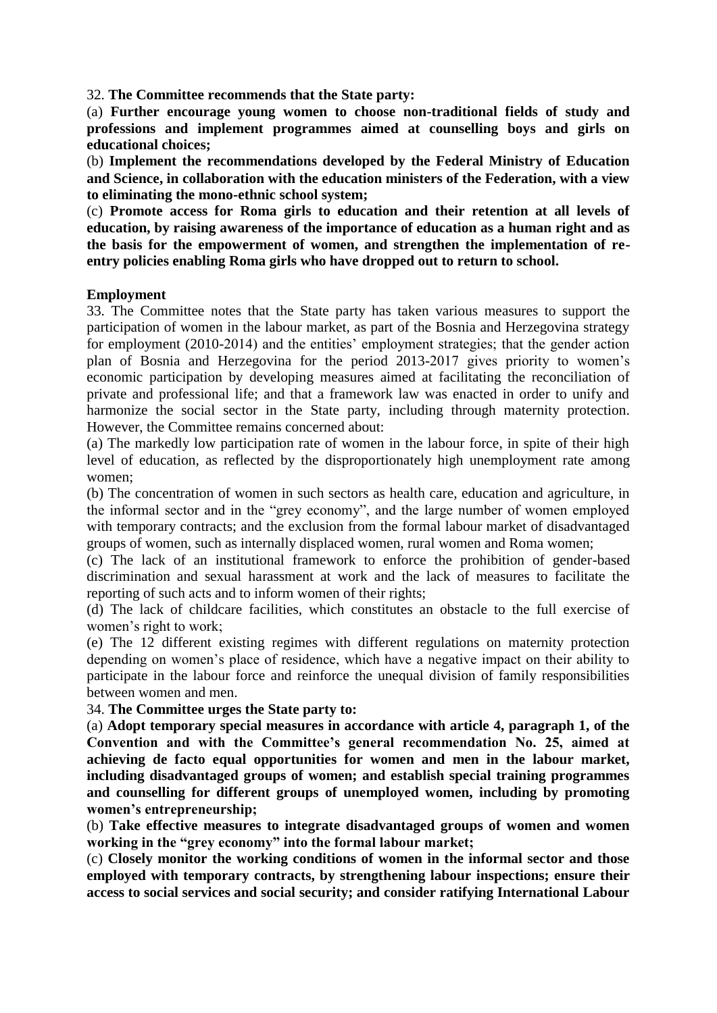32. **The Committee recommends that the State party:**

(a) **Further encourage young women to choose non-traditional fields of study and professions and implement programmes aimed at counselling boys and girls on educational choices;**

(b) **Implement the recommendations developed by the Federal Ministry of Education and Science, in collaboration with the education ministers of the Federation, with a view to eliminating the mono-ethnic school system;**

(c) **Promote access for Roma girls to education and their retention at all levels of education, by raising awareness of the importance of education as a human right and as the basis for the empowerment of women, and strengthen the implementation of reentry policies enabling Roma girls who have dropped out to return to school.**

#### **Employment**

33. The Committee notes that the State party has taken various measures to support the participation of women in the labour market, as part of the Bosnia and Herzegovina strategy for employment (2010-2014) and the entities' employment strategies; that the gender action plan of Bosnia and Herzegovina for the period 2013-2017 gives priority to women's economic participation by developing measures aimed at facilitating the reconciliation of private and professional life; and that a framework law was enacted in order to unify and harmonize the social sector in the State party, including through maternity protection. However, the Committee remains concerned about:

(a) The markedly low participation rate of women in the labour force, in spite of their high level of education, as reflected by the disproportionately high unemployment rate among women;

(b) The concentration of women in such sectors as health care, education and agriculture, in the informal sector and in the "grey economy", and the large number of women employed with temporary contracts; and the exclusion from the formal labour market of disadvantaged groups of women, such as internally displaced women, rural women and Roma women;

(c) The lack of an institutional framework to enforce the prohibition of gender-based discrimination and sexual harassment at work and the lack of measures to facilitate the reporting of such acts and to inform women of their rights;

(d) The lack of childcare facilities, which constitutes an obstacle to the full exercise of women's right to work;

(e) The 12 different existing regimes with different regulations on maternity protection depending on women's place of residence, which have a negative impact on their ability to participate in the labour force and reinforce the unequal division of family responsibilities between women and men.

34. **The Committee urges the State party to:**

(a) **Adopt temporary special measures in accordance with article 4, paragraph 1, of the Convention and with the Committee's general recommendation No. 25, aimed at achieving de facto equal opportunities for women and men in the labour market, including disadvantaged groups of women; and establish special training programmes and counselling for different groups of unemployed women, including by promoting women's entrepreneurship;**

(b) **Take effective measures to integrate disadvantaged groups of women and women working in the "grey economy" into the formal labour market;**

(c) **Closely monitor the working conditions of women in the informal sector and those employed with temporary contracts, by strengthening labour inspections; ensure their access to social services and social security; and consider ratifying International Labour**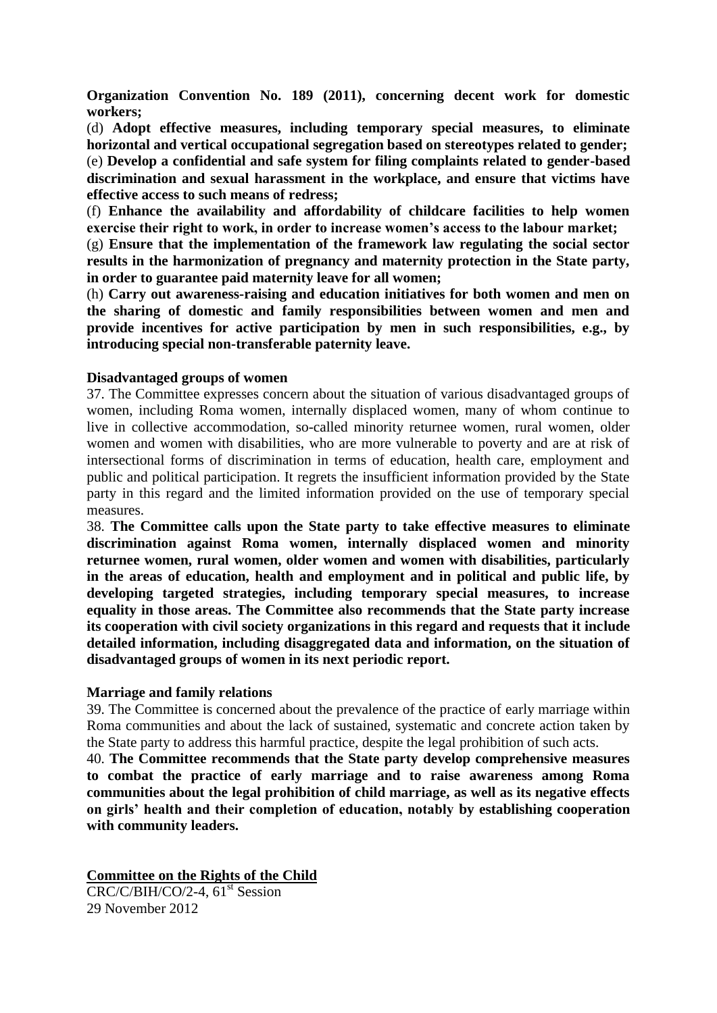**Organization Convention No. 189 (2011), concerning decent work for domestic workers;**

(d) **Adopt effective measures, including temporary special measures, to eliminate horizontal and vertical occupational segregation based on stereotypes related to gender;** (e) **Develop a confidential and safe system for filing complaints related to gender-based discrimination and sexual harassment in the workplace, and ensure that victims have effective access to such means of redress;**

(f) **Enhance the availability and affordability of childcare facilities to help women exercise their right to work, in order to increase women's access to the labour market;**

(g) **Ensure that the implementation of the framework law regulating the social sector results in the harmonization of pregnancy and maternity protection in the State party, in order to guarantee paid maternity leave for all women;**

(h) **Carry out awareness-raising and education initiatives for both women and men on the sharing of domestic and family responsibilities between women and men and provide incentives for active participation by men in such responsibilities, e.g., by introducing special non-transferable paternity leave.**

#### **Disadvantaged groups of women**

37. The Committee expresses concern about the situation of various disadvantaged groups of women, including Roma women, internally displaced women, many of whom continue to live in collective accommodation, so-called minority returnee women, rural women, older women and women with disabilities, who are more vulnerable to poverty and are at risk of intersectional forms of discrimination in terms of education, health care, employment and public and political participation. It regrets the insufficient information provided by the State party in this regard and the limited information provided on the use of temporary special measures.

38. **The Committee calls upon the State party to take effective measures to eliminate discrimination against Roma women, internally displaced women and minority returnee women, rural women, older women and women with disabilities, particularly in the areas of education, health and employment and in political and public life, by developing targeted strategies, including temporary special measures, to increase equality in those areas. The Committee also recommends that the State party increase its cooperation with civil society organizations in this regard and requests that it include detailed information, including disaggregated data and information, on the situation of disadvantaged groups of women in its next periodic report.**

#### **Marriage and family relations**

39. The Committee is concerned about the prevalence of the practice of early marriage within Roma communities and about the lack of sustained, systematic and concrete action taken by the State party to address this harmful practice, despite the legal prohibition of such acts.

40. **The Committee recommends that the State party develop comprehensive measures to combat the practice of early marriage and to raise awareness among Roma communities about the legal prohibition of child marriage, as well as its negative effects on girls' health and their completion of education, notably by establishing cooperation with community leaders.**

**Committee on the Rights of the Child**

 $CRC/C/BIH/CO/2-4$ , 61<sup>st</sup> Session 29 November 2012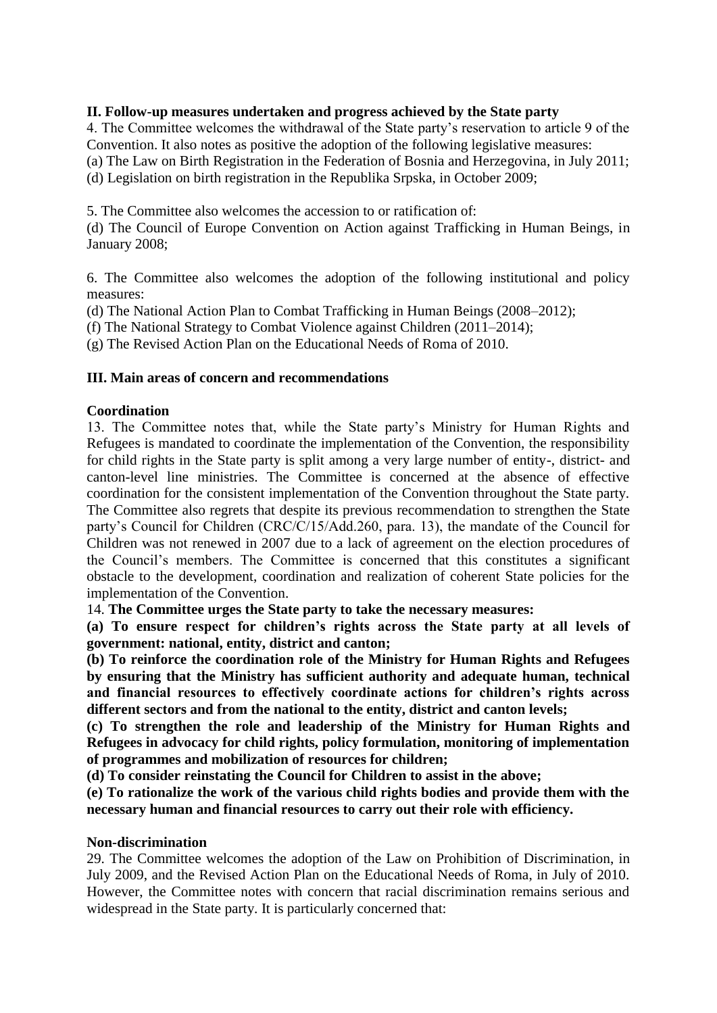#### **II. Follow-up measures undertaken and progress achieved by the State party**

4. The Committee welcomes the withdrawal of the State party's reservation to article 9 of the Convention. It also notes as positive the adoption of the following legislative measures: (a) The Law on Birth Registration in the Federation of Bosnia and Herzegovina, in July 2011; (d) Legislation on birth registration in the Republika Srpska, in October 2009;

5. The Committee also welcomes the accession to or ratification of:

(d) The Council of Europe Convention on Action against Trafficking in Human Beings, in January 2008;

6. The Committee also welcomes the adoption of the following institutional and policy measures:

(d) The National Action Plan to Combat Trafficking in Human Beings (2008–2012);

(f) The National Strategy to Combat Violence against Children (2011–2014);

(g) The Revised Action Plan on the Educational Needs of Roma of 2010.

#### **III. Main areas of concern and recommendations**

#### **Coordination**

13. The Committee notes that, while the State party's Ministry for Human Rights and Refugees is mandated to coordinate the implementation of the Convention, the responsibility for child rights in the State party is split among a very large number of entity-, district- and canton-level line ministries. The Committee is concerned at the absence of effective coordination for the consistent implementation of the Convention throughout the State party. The Committee also regrets that despite its previous recommendation to strengthen the State party's Council for Children (CRC/C/15/Add.260, para. 13), the mandate of the Council for Children was not renewed in 2007 due to a lack of agreement on the election procedures of the Council's members. The Committee is concerned that this constitutes a significant obstacle to the development, coordination and realization of coherent State policies for the implementation of the Convention.

14. **The Committee urges the State party to take the necessary measures:** 

**(a) To ensure respect for children's rights across the State party at all levels of government: national, entity, district and canton;** 

**(b) To reinforce the coordination role of the Ministry for Human Rights and Refugees by ensuring that the Ministry has sufficient authority and adequate human, technical and financial resources to effectively coordinate actions for children's rights across different sectors and from the national to the entity, district and canton levels;** 

**(c) To strengthen the role and leadership of the Ministry for Human Rights and Refugees in advocacy for child rights, policy formulation, monitoring of implementation of programmes and mobilization of resources for children;** 

**(d) To consider reinstating the Council for Children to assist in the above;** 

**(e) To rationalize the work of the various child rights bodies and provide them with the necessary human and financial resources to carry out their role with efficiency.**

#### **Non-discrimination**

29. The Committee welcomes the adoption of the Law on Prohibition of Discrimination, in July 2009, and the Revised Action Plan on the Educational Needs of Roma, in July of 2010. However, the Committee notes with concern that racial discrimination remains serious and widespread in the State party. It is particularly concerned that: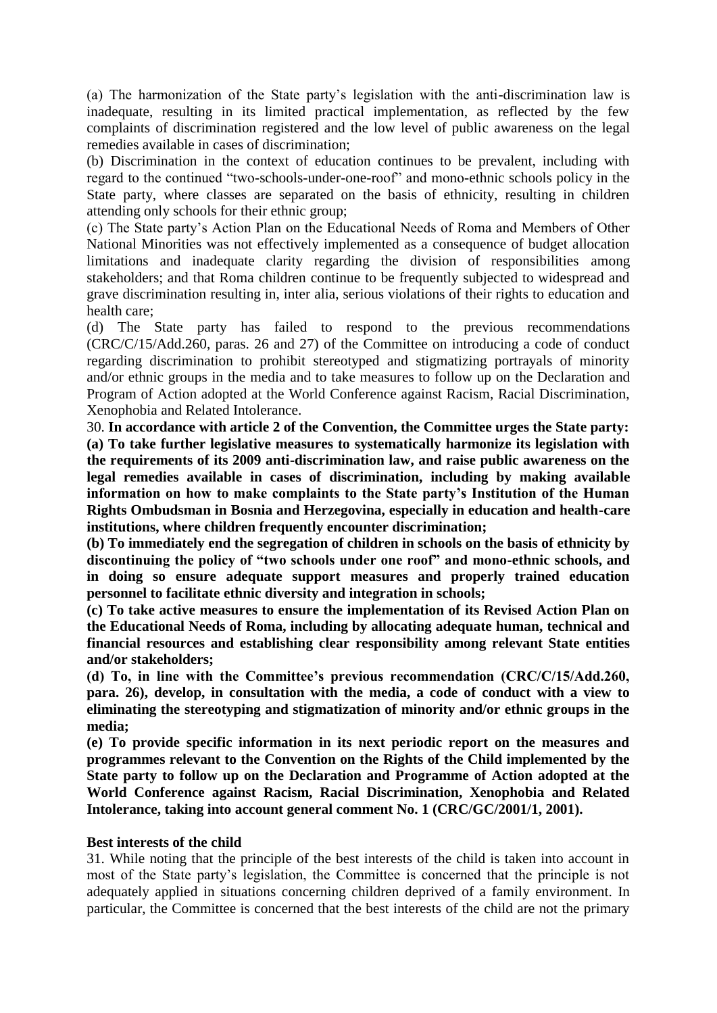(a) The harmonization of the State party's legislation with the anti-discrimination law is inadequate, resulting in its limited practical implementation, as reflected by the few complaints of discrimination registered and the low level of public awareness on the legal remedies available in cases of discrimination;

(b) Discrimination in the context of education continues to be prevalent, including with regard to the continued "two-schools-under-one-roof" and mono-ethnic schools policy in the State party, where classes are separated on the basis of ethnicity, resulting in children attending only schools for their ethnic group;

(c) The State party's Action Plan on the Educational Needs of Roma and Members of Other National Minorities was not effectively implemented as a consequence of budget allocation limitations and inadequate clarity regarding the division of responsibilities among stakeholders; and that Roma children continue to be frequently subjected to widespread and grave discrimination resulting in, inter alia, serious violations of their rights to education and health care;

(d) The State party has failed to respond to the previous recommendations (CRC/C/15/Add.260, paras. 26 and 27) of the Committee on introducing a code of conduct regarding discrimination to prohibit stereotyped and stigmatizing portrayals of minority and/or ethnic groups in the media and to take measures to follow up on the Declaration and Program of Action adopted at the World Conference against Racism, Racial Discrimination, Xenophobia and Related Intolerance.

30. **In accordance with article 2 of the Convention, the Committee urges the State party: (a) To take further legislative measures to systematically harmonize its legislation with the requirements of its 2009 anti-discrimination law, and raise public awareness on the legal remedies available in cases of discrimination, including by making available information on how to make complaints to the State party's Institution of the Human Rights Ombudsman in Bosnia and Herzegovina, especially in education and health-care institutions, where children frequently encounter discrimination;** 

**(b) To immediately end the segregation of children in schools on the basis of ethnicity by discontinuing the policy of "two schools under one roof" and mono-ethnic schools, and in doing so ensure adequate support measures and properly trained education personnel to facilitate ethnic diversity and integration in schools;** 

**(c) To take active measures to ensure the implementation of its Revised Action Plan on the Educational Needs of Roma, including by allocating adequate human, technical and financial resources and establishing clear responsibility among relevant State entities and/or stakeholders;** 

**(d) To, in line with the Committee's previous recommendation (CRC/C/15/Add.260, para. 26), develop, in consultation with the media, a code of conduct with a view to eliminating the stereotyping and stigmatization of minority and/or ethnic groups in the media;** 

**(e) To provide specific information in its next periodic report on the measures and programmes relevant to the Convention on the Rights of the Child implemented by the State party to follow up on the Declaration and Programme of Action adopted at the World Conference against Racism, Racial Discrimination, Xenophobia and Related Intolerance, taking into account general comment No. 1 (CRC/GC/2001/1, 2001).**

#### **Best interests of the child**

31. While noting that the principle of the best interests of the child is taken into account in most of the State party's legislation, the Committee is concerned that the principle is not adequately applied in situations concerning children deprived of a family environment. In particular, the Committee is concerned that the best interests of the child are not the primary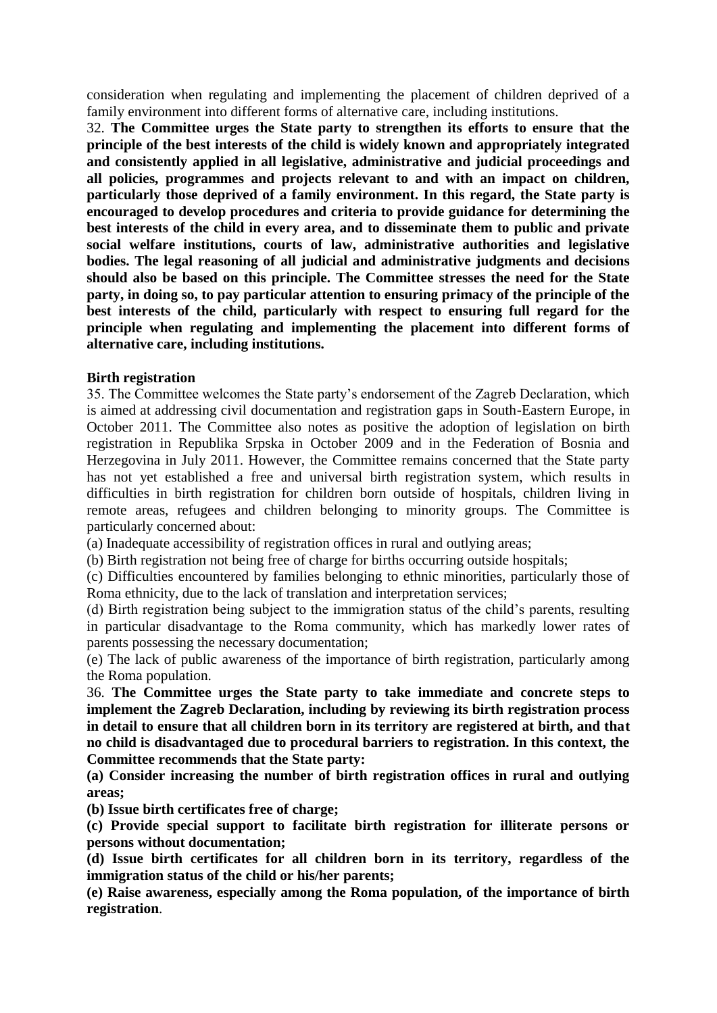consideration when regulating and implementing the placement of children deprived of a family environment into different forms of alternative care, including institutions.

32. **The Committee urges the State party to strengthen its efforts to ensure that the principle of the best interests of the child is widely known and appropriately integrated and consistently applied in all legislative, administrative and judicial proceedings and all policies, programmes and projects relevant to and with an impact on children, particularly those deprived of a family environment. In this regard, the State party is encouraged to develop procedures and criteria to provide guidance for determining the best interests of the child in every area, and to disseminate them to public and private social welfare institutions, courts of law, administrative authorities and legislative bodies. The legal reasoning of all judicial and administrative judgments and decisions should also be based on this principle. The Committee stresses the need for the State party, in doing so, to pay particular attention to ensuring primacy of the principle of the best interests of the child, particularly with respect to ensuring full regard for the principle when regulating and implementing the placement into different forms of alternative care, including institutions.**

#### **Birth registration**

35. The Committee welcomes the State party's endorsement of the Zagreb Declaration, which is aimed at addressing civil documentation and registration gaps in South-Eastern Europe, in October 2011. The Committee also notes as positive the adoption of legislation on birth registration in Republika Srpska in October 2009 and in the Federation of Bosnia and Herzegovina in July 2011. However, the Committee remains concerned that the State party has not yet established a free and universal birth registration system, which results in difficulties in birth registration for children born outside of hospitals, children living in remote areas, refugees and children belonging to minority groups. The Committee is particularly concerned about:

(a) Inadequate accessibility of registration offices in rural and outlying areas;

(b) Birth registration not being free of charge for births occurring outside hospitals;

(c) Difficulties encountered by families belonging to ethnic minorities, particularly those of Roma ethnicity, due to the lack of translation and interpretation services;

(d) Birth registration being subject to the immigration status of the child's parents, resulting in particular disadvantage to the Roma community, which has markedly lower rates of parents possessing the necessary documentation;

(e) The lack of public awareness of the importance of birth registration, particularly among the Roma population.

36. **The Committee urges the State party to take immediate and concrete steps to implement the Zagreb Declaration, including by reviewing its birth registration process in detail to ensure that all children born in its territory are registered at birth, and that no child is disadvantaged due to procedural barriers to registration. In this context, the Committee recommends that the State party:** 

**(a) Consider increasing the number of birth registration offices in rural and outlying areas;** 

**(b) Issue birth certificates free of charge;** 

**(c) Provide special support to facilitate birth registration for illiterate persons or persons without documentation;** 

**(d) Issue birth certificates for all children born in its territory, regardless of the immigration status of the child or his/her parents;**

**(e) Raise awareness, especially among the Roma population, of the importance of birth registration**.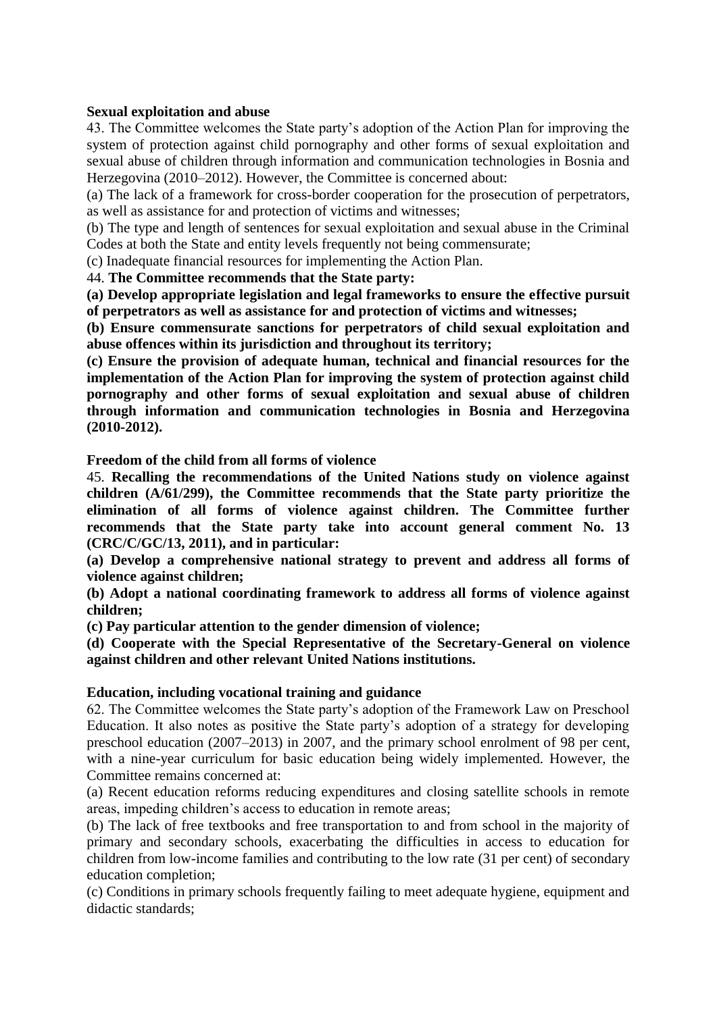#### **Sexual exploitation and abuse**

43. The Committee welcomes the State party's adoption of the Action Plan for improving the system of protection against child pornography and other forms of sexual exploitation and sexual abuse of children through information and communication technologies in Bosnia and Herzegovina (2010–2012). However, the Committee is concerned about:

(a) The lack of a framework for cross-border cooperation for the prosecution of perpetrators, as well as assistance for and protection of victims and witnesses;

(b) The type and length of sentences for sexual exploitation and sexual abuse in the Criminal Codes at both the State and entity levels frequently not being commensurate;

(c) Inadequate financial resources for implementing the Action Plan.

44. **The Committee recommends that the State party:** 

**(a) Develop appropriate legislation and legal frameworks to ensure the effective pursuit of perpetrators as well as assistance for and protection of victims and witnesses;** 

**(b) Ensure commensurate sanctions for perpetrators of child sexual exploitation and abuse offences within its jurisdiction and throughout its territory;** 

**(c) Ensure the provision of adequate human, technical and financial resources for the implementation of the Action Plan for improving the system of protection against child pornography and other forms of sexual exploitation and sexual abuse of children through information and communication technologies in Bosnia and Herzegovina (2010-2012).**

**Freedom of the child from all forms of violence** 

45. **Recalling the recommendations of the United Nations study on violence against children (A/61/299), the Committee recommends that the State party prioritize the elimination of all forms of violence against children. The Committee further recommends that the State party take into account general comment No. 13 (CRC/C/GC/13, 2011), and in particular:** 

**(a) Develop a comprehensive national strategy to prevent and address all forms of violence against children;** 

**(b) Adopt a national coordinating framework to address all forms of violence against children;**

**(c) Pay particular attention to the gender dimension of violence;** 

**(d) Cooperate with the Special Representative of the Secretary-General on violence against children and other relevant United Nations institutions.**

# **Education, including vocational training and guidance**

62. The Committee welcomes the State party's adoption of the Framework Law on Preschool Education. It also notes as positive the State party's adoption of a strategy for developing preschool education (2007–2013) in 2007, and the primary school enrolment of 98 per cent, with a nine-year curriculum for basic education being widely implemented. However, the Committee remains concerned at:

(a) Recent education reforms reducing expenditures and closing satellite schools in remote areas, impeding children's access to education in remote areas;

(b) The lack of free textbooks and free transportation to and from school in the majority of primary and secondary schools, exacerbating the difficulties in access to education for children from low-income families and contributing to the low rate (31 per cent) of secondary education completion;

(c) Conditions in primary schools frequently failing to meet adequate hygiene, equipment and didactic standards;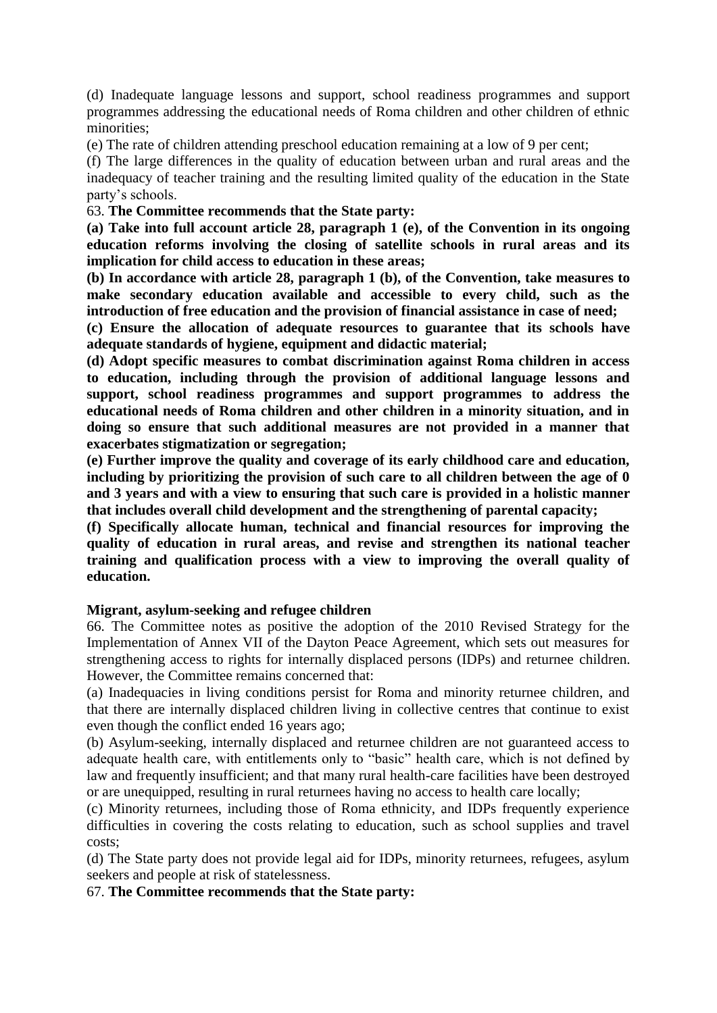(d) Inadequate language lessons and support, school readiness programmes and support programmes addressing the educational needs of Roma children and other children of ethnic minorities;

(e) The rate of children attending preschool education remaining at a low of 9 per cent;

(f) The large differences in the quality of education between urban and rural areas and the inadequacy of teacher training and the resulting limited quality of the education in the State party's schools.

63. **The Committee recommends that the State party:** 

**(a) Take into full account article 28, paragraph 1 (e), of the Convention in its ongoing education reforms involving the closing of satellite schools in rural areas and its implication for child access to education in these areas;** 

**(b) In accordance with article 28, paragraph 1 (b), of the Convention, take measures to make secondary education available and accessible to every child, such as the introduction of free education and the provision of financial assistance in case of need;** 

**(c) Ensure the allocation of adequate resources to guarantee that its schools have adequate standards of hygiene, equipment and didactic material;** 

**(d) Adopt specific measures to combat discrimination against Roma children in access to education, including through the provision of additional language lessons and support, school readiness programmes and support programmes to address the educational needs of Roma children and other children in a minority situation, and in doing so ensure that such additional measures are not provided in a manner that exacerbates stigmatization or segregation;** 

**(e) Further improve the quality and coverage of its early childhood care and education, including by prioritizing the provision of such care to all children between the age of 0 and 3 years and with a view to ensuring that such care is provided in a holistic manner that includes overall child development and the strengthening of parental capacity;** 

**(f) Specifically allocate human, technical and financial resources for improving the quality of education in rural areas, and revise and strengthen its national teacher training and qualification process with a view to improving the overall quality of education.**

# **Migrant, asylum-seeking and refugee children**

66. The Committee notes as positive the adoption of the 2010 Revised Strategy for the Implementation of Annex VII of the Dayton Peace Agreement, which sets out measures for strengthening access to rights for internally displaced persons (IDPs) and returnee children. However, the Committee remains concerned that:

(a) Inadequacies in living conditions persist for Roma and minority returnee children, and that there are internally displaced children living in collective centres that continue to exist even though the conflict ended 16 years ago;

(b) Asylum-seeking, internally displaced and returnee children are not guaranteed access to adequate health care, with entitlements only to "basic" health care, which is not defined by law and frequently insufficient; and that many rural health-care facilities have been destroyed or are unequipped, resulting in rural returnees having no access to health care locally;

(c) Minority returnees, including those of Roma ethnicity, and IDPs frequently experience difficulties in covering the costs relating to education, such as school supplies and travel costs;

(d) The State party does not provide legal aid for IDPs, minority returnees, refugees, asylum seekers and people at risk of statelessness.

67. **The Committee recommends that the State party:**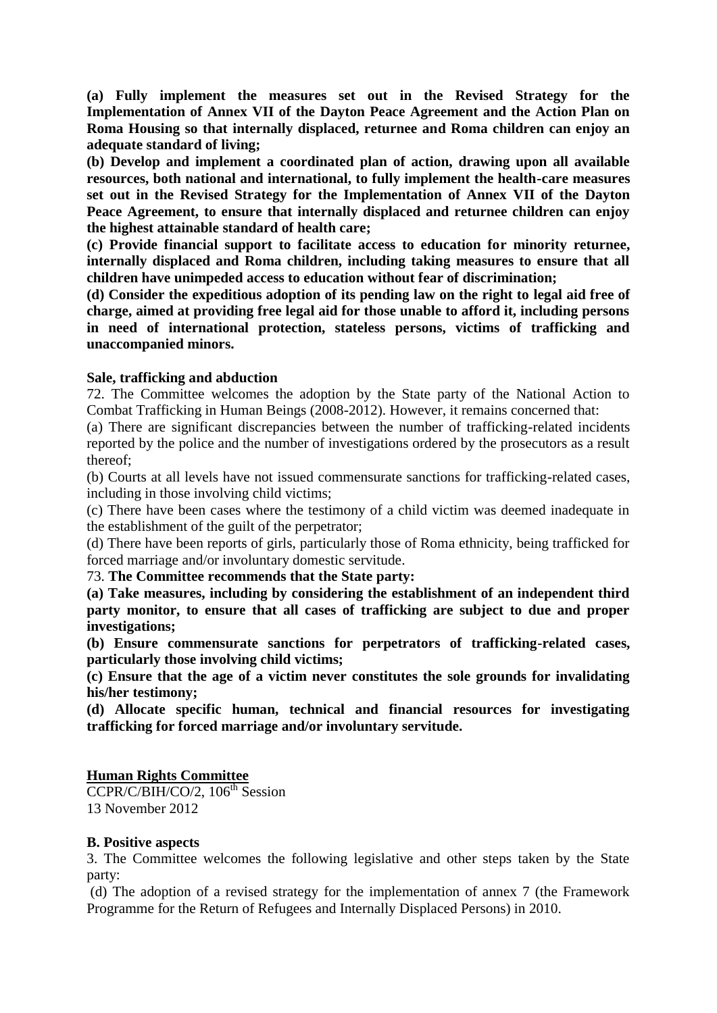**(a) Fully implement the measures set out in the Revised Strategy for the Implementation of Annex VII of the Dayton Peace Agreement and the Action Plan on Roma Housing so that internally displaced, returnee and Roma children can enjoy an adequate standard of living;** 

**(b) Develop and implement a coordinated plan of action, drawing upon all available resources, both national and international, to fully implement the health-care measures set out in the Revised Strategy for the Implementation of Annex VII of the Dayton Peace Agreement, to ensure that internally displaced and returnee children can enjoy the highest attainable standard of health care;** 

**(c) Provide financial support to facilitate access to education for minority returnee, internally displaced and Roma children, including taking measures to ensure that all children have unimpeded access to education without fear of discrimination;** 

**(d) Consider the expeditious adoption of its pending law on the right to legal aid free of charge, aimed at providing free legal aid for those unable to afford it, including persons in need of international protection, stateless persons, victims of trafficking and unaccompanied minors.**

#### **Sale, trafficking and abduction**

72. The Committee welcomes the adoption by the State party of the National Action to Combat Trafficking in Human Beings (2008-2012). However, it remains concerned that:

(a) There are significant discrepancies between the number of trafficking-related incidents reported by the police and the number of investigations ordered by the prosecutors as a result thereof;

(b) Courts at all levels have not issued commensurate sanctions for trafficking-related cases, including in those involving child victims;

(c) There have been cases where the testimony of a child victim was deemed inadequate in the establishment of the guilt of the perpetrator;

(d) There have been reports of girls, particularly those of Roma ethnicity, being trafficked for forced marriage and/or involuntary domestic servitude.

73. **The Committee recommends that the State party:** 

**(a) Take measures, including by considering the establishment of an independent third party monitor, to ensure that all cases of trafficking are subject to due and proper investigations;** 

**(b) Ensure commensurate sanctions for perpetrators of trafficking-related cases, particularly those involving child victims;** 

**(c) Ensure that the age of a victim never constitutes the sole grounds for invalidating his/her testimony;** 

**(d) Allocate specific human, technical and financial resources for investigating trafficking for forced marriage and/or involuntary servitude.**

# **Human Rights Committee**

 $\overline{\text{CCPR/C/BIH/CO}/2}$ , 106<sup>th</sup> Session 13 November 2012

#### **B. Positive aspects**

3. The Committee welcomes the following legislative and other steps taken by the State party:

(d) The adoption of a revised strategy for the implementation of annex 7 (the Framework Programme for the Return of Refugees and Internally Displaced Persons) in 2010.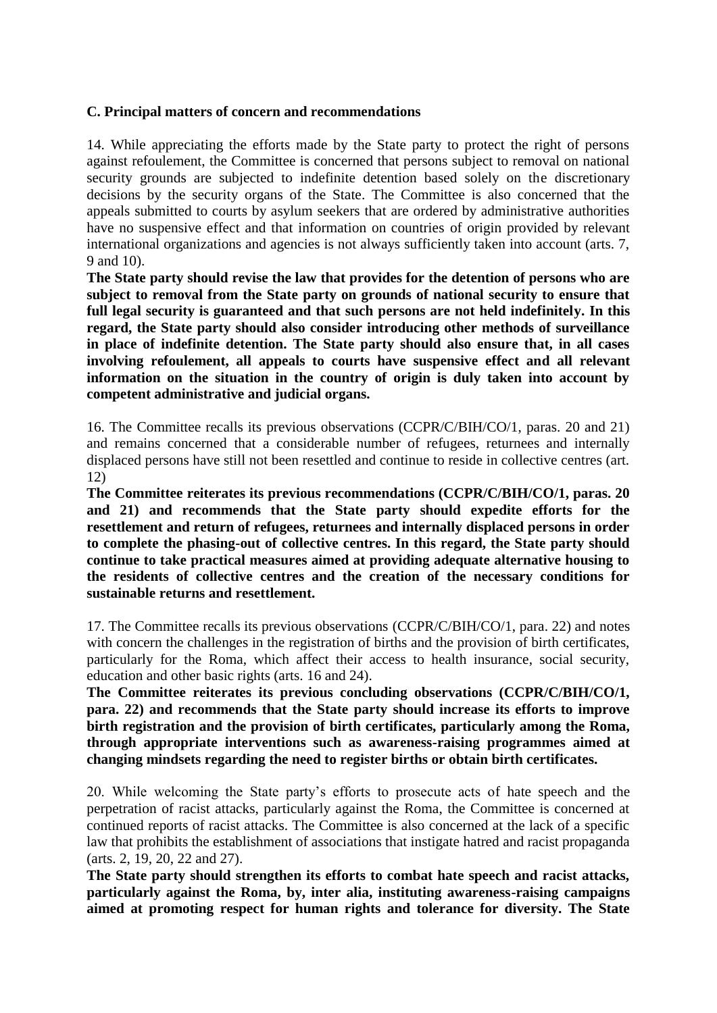#### **C. Principal matters of concern and recommendations**

14. While appreciating the efforts made by the State party to protect the right of persons against refoulement, the Committee is concerned that persons subject to removal on national security grounds are subjected to indefinite detention based solely on the discretionary decisions by the security organs of the State. The Committee is also concerned that the appeals submitted to courts by asylum seekers that are ordered by administrative authorities have no suspensive effect and that information on countries of origin provided by relevant international organizations and agencies is not always sufficiently taken into account (arts. 7, 9 and 10).

**The State party should revise the law that provides for the detention of persons who are subject to removal from the State party on grounds of national security to ensure that full legal security is guaranteed and that such persons are not held indefinitely. In this regard, the State party should also consider introducing other methods of surveillance in place of indefinite detention. The State party should also ensure that, in all cases involving refoulement, all appeals to courts have suspensive effect and all relevant information on the situation in the country of origin is duly taken into account by competent administrative and judicial organs.**

16. The Committee recalls its previous observations (CCPR/C/BIH/CO/1, paras. 20 and 21) and remains concerned that a considerable number of refugees, returnees and internally displaced persons have still not been resettled and continue to reside in collective centres (art. 12)

**The Committee reiterates its previous recommendations (CCPR/C/BIH/CO/1, paras. 20 and 21) and recommends that the State party should expedite efforts for the resettlement and return of refugees, returnees and internally displaced persons in order to complete the phasing-out of collective centres. In this regard, the State party should continue to take practical measures aimed at providing adequate alternative housing to the residents of collective centres and the creation of the necessary conditions for sustainable returns and resettlement.**

17. The Committee recalls its previous observations (CCPR/C/BIH/CO/1, para. 22) and notes with concern the challenges in the registration of births and the provision of birth certificates, particularly for the Roma, which affect their access to health insurance, social security, education and other basic rights (arts. 16 and 24).

**The Committee reiterates its previous concluding observations (CCPR/C/BIH/CO/1, para. 22) and recommends that the State party should increase its efforts to improve birth registration and the provision of birth certificates, particularly among the Roma, through appropriate interventions such as awareness-raising programmes aimed at changing mindsets regarding the need to register births or obtain birth certificates.**

20. While welcoming the State party's efforts to prosecute acts of hate speech and the perpetration of racist attacks, particularly against the Roma, the Committee is concerned at continued reports of racist attacks. The Committee is also concerned at the lack of a specific law that prohibits the establishment of associations that instigate hatred and racist propaganda (arts. 2, 19, 20, 22 and 27).

**The State party should strengthen its efforts to combat hate speech and racist attacks, particularly against the Roma, by, inter alia, instituting awareness-raising campaigns aimed at promoting respect for human rights and tolerance for diversity. The State**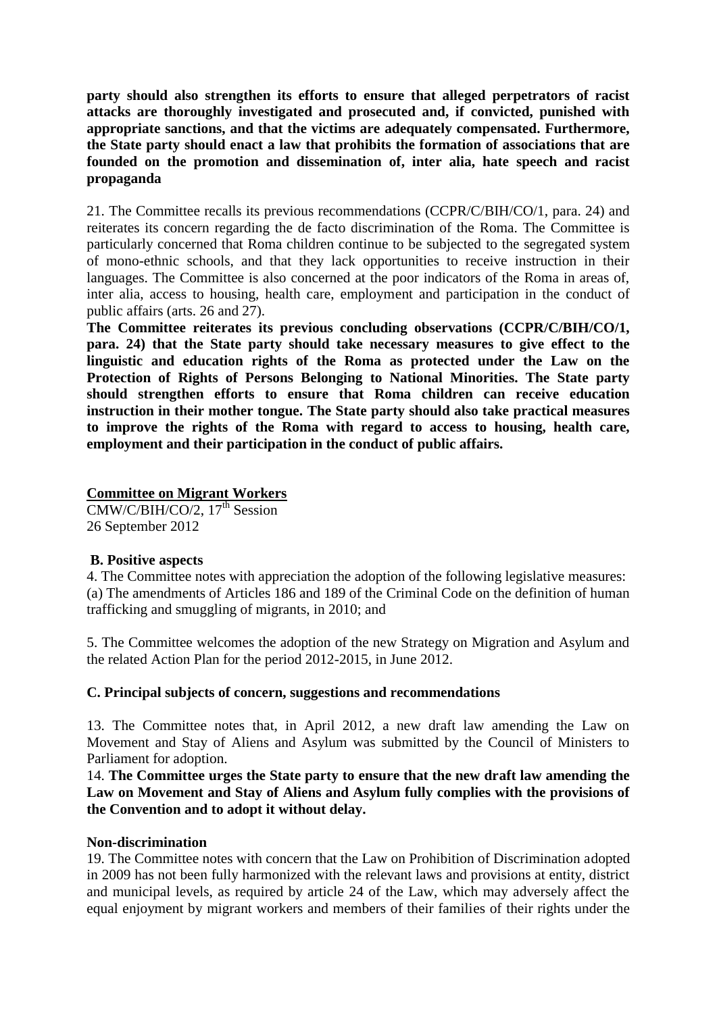**party should also strengthen its efforts to ensure that alleged perpetrators of racist attacks are thoroughly investigated and prosecuted and, if convicted, punished with appropriate sanctions, and that the victims are adequately compensated. Furthermore, the State party should enact a law that prohibits the formation of associations that are founded on the promotion and dissemination of, inter alia, hate speech and racist propaganda**

21. The Committee recalls its previous recommendations (CCPR/C/BIH/CO/1, para. 24) and reiterates its concern regarding the de facto discrimination of the Roma. The Committee is particularly concerned that Roma children continue to be subjected to the segregated system of mono-ethnic schools, and that they lack opportunities to receive instruction in their languages. The Committee is also concerned at the poor indicators of the Roma in areas of, inter alia, access to housing, health care, employment and participation in the conduct of public affairs (arts. 26 and 27).

**The Committee reiterates its previous concluding observations (CCPR/C/BIH/CO/1, para. 24) that the State party should take necessary measures to give effect to the linguistic and education rights of the Roma as protected under the Law on the Protection of Rights of Persons Belonging to National Minorities. The State party should strengthen efforts to ensure that Roma children can receive education instruction in their mother tongue. The State party should also take practical measures to improve the rights of the Roma with regard to access to housing, health care, employment and their participation in the conduct of public affairs.**

**Committee on Migrant Workers** 

 $CMW/C/BIH/CO/2$ , 17<sup>th</sup> Session 26 September 2012

#### **B. Positive aspects**

4. The Committee notes with appreciation the adoption of the following legislative measures: (a) The amendments of Articles 186 and 189 of the Criminal Code on the definition of human trafficking and smuggling of migrants, in 2010; and

5. The Committee welcomes the adoption of the new Strategy on Migration and Asylum and the related Action Plan for the period 2012-2015, in June 2012.

#### **C. Principal subjects of concern, suggestions and recommendations**

13. The Committee notes that, in April 2012, a new draft law amending the Law on Movement and Stay of Aliens and Asylum was submitted by the Council of Ministers to Parliament for adoption.

14. **The Committee urges the State party to ensure that the new draft law amending the Law on Movement and Stay of Aliens and Asylum fully complies with the provisions of the Convention and to adopt it without delay.**

#### **Non-discrimination**

19. The Committee notes with concern that the Law on Prohibition of Discrimination adopted in 2009 has not been fully harmonized with the relevant laws and provisions at entity, district and municipal levels, as required by article 24 of the Law, which may adversely affect the equal enjoyment by migrant workers and members of their families of their rights under the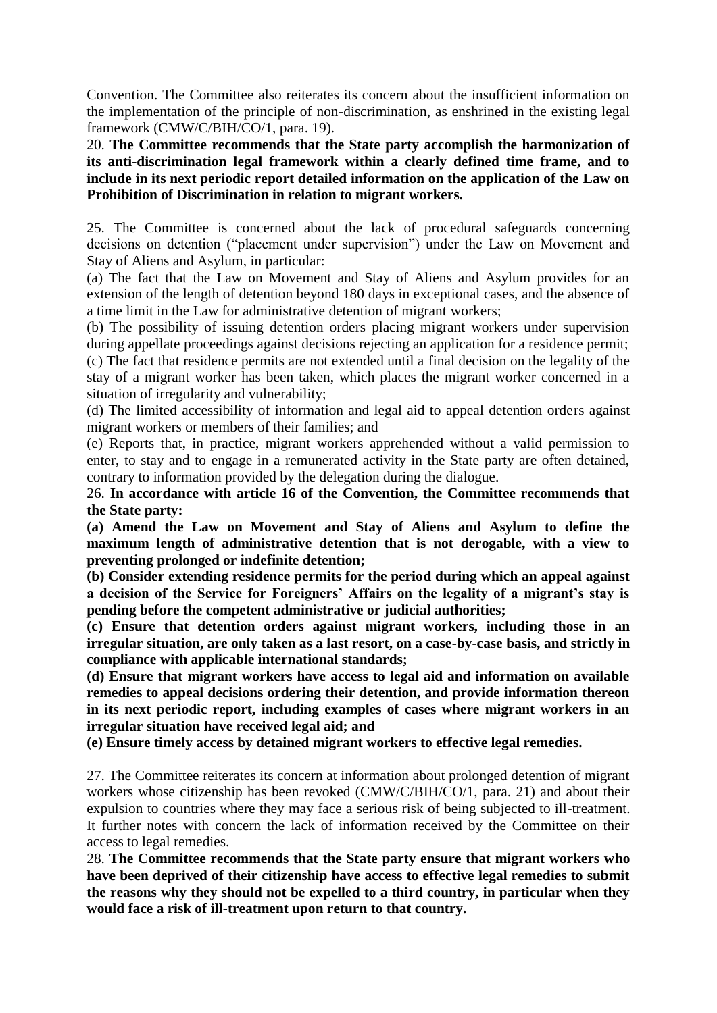Convention. The Committee also reiterates its concern about the insufficient information on the implementation of the principle of non-discrimination, as enshrined in the existing legal framework (CMW/C/BIH/CO/1, para. 19).

20. **The Committee recommends that the State party accomplish the harmonization of its anti-discrimination legal framework within a clearly defined time frame, and to include in its next periodic report detailed information on the application of the Law on Prohibition of Discrimination in relation to migrant workers.**

25. The Committee is concerned about the lack of procedural safeguards concerning decisions on detention ("placement under supervision") under the Law on Movement and Stay of Aliens and Asylum, in particular:

(a) The fact that the Law on Movement and Stay of Aliens and Asylum provides for an extension of the length of detention beyond 180 days in exceptional cases, and the absence of a time limit in the Law for administrative detention of migrant workers;

(b) The possibility of issuing detention orders placing migrant workers under supervision during appellate proceedings against decisions rejecting an application for a residence permit; (c) The fact that residence permits are not extended until a final decision on the legality of the stay of a migrant worker has been taken, which places the migrant worker concerned in a situation of irregularity and vulnerability;

(d) The limited accessibility of information and legal aid to appeal detention orders against migrant workers or members of their families; and

(e) Reports that, in practice, migrant workers apprehended without a valid permission to enter, to stay and to engage in a remunerated activity in the State party are often detained, contrary to information provided by the delegation during the dialogue.

26. **In accordance with article 16 of the Convention, the Committee recommends that the State party:** 

**(a) Amend the Law on Movement and Stay of Aliens and Asylum to define the maximum length of administrative detention that is not derogable, with a view to preventing prolonged or indefinite detention;** 

**(b) Consider extending residence permits for the period during which an appeal against a decision of the Service for Foreigners' Affairs on the legality of a migrant's stay is pending before the competent administrative or judicial authorities;** 

**(c) Ensure that detention orders against migrant workers, including those in an irregular situation, are only taken as a last resort, on a case-by-case basis, and strictly in compliance with applicable international standards;** 

**(d) Ensure that migrant workers have access to legal aid and information on available remedies to appeal decisions ordering their detention, and provide information thereon in its next periodic report, including examples of cases where migrant workers in an irregular situation have received legal aid; and** 

**(e) Ensure timely access by detained migrant workers to effective legal remedies.**

27. The Committee reiterates its concern at information about prolonged detention of migrant workers whose citizenship has been revoked (CMW/C/BIH/CO/1, para. 21) and about their expulsion to countries where they may face a serious risk of being subjected to ill-treatment. It further notes with concern the lack of information received by the Committee on their access to legal remedies.

28. **The Committee recommends that the State party ensure that migrant workers who have been deprived of their citizenship have access to effective legal remedies to submit the reasons why they should not be expelled to a third country, in particular when they would face a risk of ill-treatment upon return to that country.**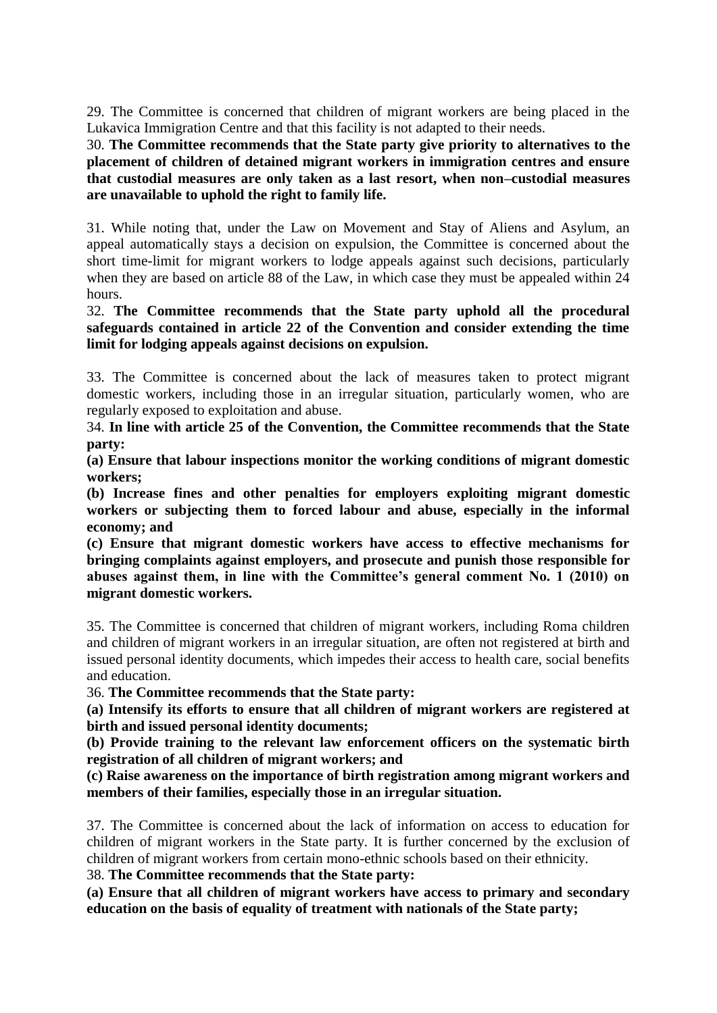29. The Committee is concerned that children of migrant workers are being placed in the Lukavica Immigration Centre and that this facility is not adapted to their needs.

30. **The Committee recommends that the State party give priority to alternatives to the placement of children of detained migrant workers in immigration centres and ensure that custodial measures are only taken as a last resort, when non–custodial measures are unavailable to uphold the right to family life.**

31. While noting that, under the Law on Movement and Stay of Aliens and Asylum, an appeal automatically stays a decision on expulsion, the Committee is concerned about the short time-limit for migrant workers to lodge appeals against such decisions, particularly when they are based on article 88 of the Law, in which case they must be appealed within 24 hours.

32. **The Committee recommends that the State party uphold all the procedural safeguards contained in article 22 of the Convention and consider extending the time limit for lodging appeals against decisions on expulsion.**

33. The Committee is concerned about the lack of measures taken to protect migrant domestic workers, including those in an irregular situation, particularly women, who are regularly exposed to exploitation and abuse.

34. **In line with article 25 of the Convention, the Committee recommends that the State party:** 

**(a) Ensure that labour inspections monitor the working conditions of migrant domestic workers;** 

**(b) Increase fines and other penalties for employers exploiting migrant domestic workers or subjecting them to forced labour and abuse, especially in the informal economy; and** 

**(c) Ensure that migrant domestic workers have access to effective mechanisms for bringing complaints against employers, and prosecute and punish those responsible for abuses against them, in line with the Committee's general comment No. 1 (2010) on migrant domestic workers.**

35. The Committee is concerned that children of migrant workers, including Roma children and children of migrant workers in an irregular situation, are often not registered at birth and issued personal identity documents, which impedes their access to health care, social benefits and education.

36. **The Committee recommends that the State party:** 

**(a) Intensify its efforts to ensure that all children of migrant workers are registered at birth and issued personal identity documents;** 

**(b) Provide training to the relevant law enforcement officers on the systematic birth registration of all children of migrant workers; and** 

**(c) Raise awareness on the importance of birth registration among migrant workers and members of their families, especially those in an irregular situation.**

37. The Committee is concerned about the lack of information on access to education for children of migrant workers in the State party. It is further concerned by the exclusion of children of migrant workers from certain mono-ethnic schools based on their ethnicity.

38. **The Committee recommends that the State party:** 

**(a) Ensure that all children of migrant workers have access to primary and secondary education on the basis of equality of treatment with nationals of the State party;**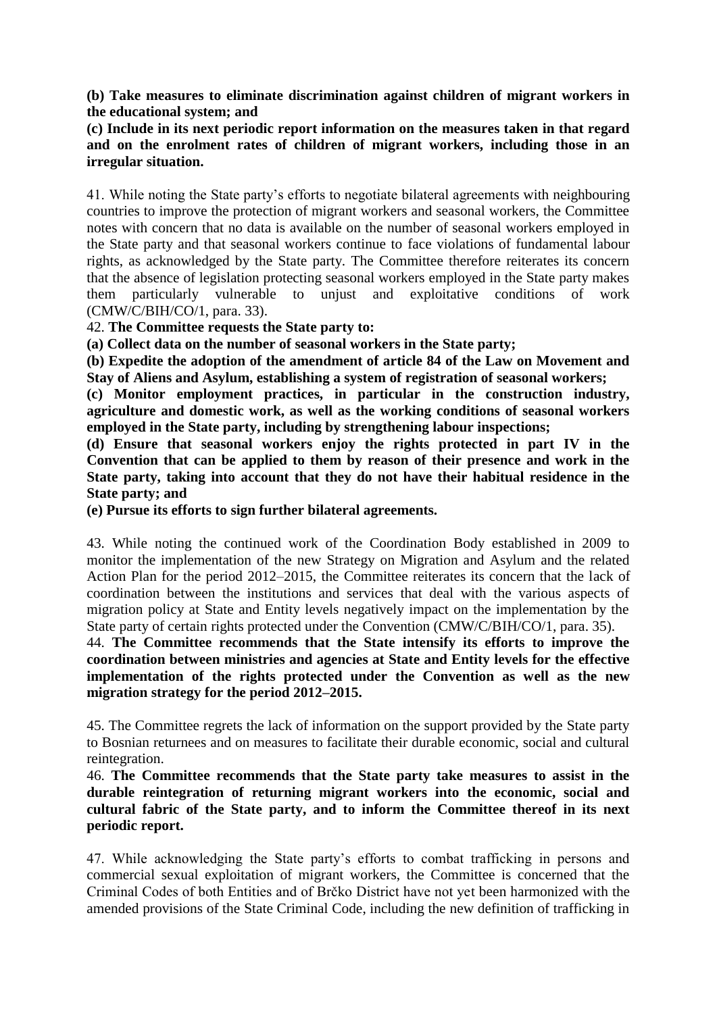**(b) Take measures to eliminate discrimination against children of migrant workers in the educational system; and** 

**(c) Include in its next periodic report information on the measures taken in that regard and on the enrolment rates of children of migrant workers, including those in an irregular situation.**

41. While noting the State party's efforts to negotiate bilateral agreements with neighbouring countries to improve the protection of migrant workers and seasonal workers, the Committee notes with concern that no data is available on the number of seasonal workers employed in the State party and that seasonal workers continue to face violations of fundamental labour rights, as acknowledged by the State party. The Committee therefore reiterates its concern that the absence of legislation protecting seasonal workers employed in the State party makes them particularly vulnerable to unjust and exploitative conditions of work (CMW/C/BIH/CO/1, para. 33).

# 42. **The Committee requests the State party to:**

**(a) Collect data on the number of seasonal workers in the State party;** 

**(b) Expedite the adoption of the amendment of article 84 of the Law on Movement and Stay of Aliens and Asylum, establishing a system of registration of seasonal workers;** 

**(c) Monitor employment practices, in particular in the construction industry, agriculture and domestic work, as well as the working conditions of seasonal workers employed in the State party, including by strengthening labour inspections;** 

**(d) Ensure that seasonal workers enjoy the rights protected in part IV in the Convention that can be applied to them by reason of their presence and work in the State party, taking into account that they do not have their habitual residence in the State party; and** 

**(e) Pursue its efforts to sign further bilateral agreements.**

43. While noting the continued work of the Coordination Body established in 2009 to monitor the implementation of the new Strategy on Migration and Asylum and the related Action Plan for the period 2012–2015, the Committee reiterates its concern that the lack of coordination between the institutions and services that deal with the various aspects of migration policy at State and Entity levels negatively impact on the implementation by the State party of certain rights protected under the Convention (CMW/C/BIH/CO/1, para. 35).

44. **The Committee recommends that the State intensify its efforts to improve the coordination between ministries and agencies at State and Entity levels for the effective implementation of the rights protected under the Convention as well as the new migration strategy for the period 2012–2015.**

45. The Committee regrets the lack of information on the support provided by the State party to Bosnian returnees and on measures to facilitate their durable economic, social and cultural reintegration.

46. **The Committee recommends that the State party take measures to assist in the durable reintegration of returning migrant workers into the economic, social and cultural fabric of the State party, and to inform the Committee thereof in its next periodic report.**

47. While acknowledging the State party's efforts to combat trafficking in persons and commercial sexual exploitation of migrant workers, the Committee is concerned that the Criminal Codes of both Entities and of Brčko District have not yet been harmonized with the amended provisions of the State Criminal Code, including the new definition of trafficking in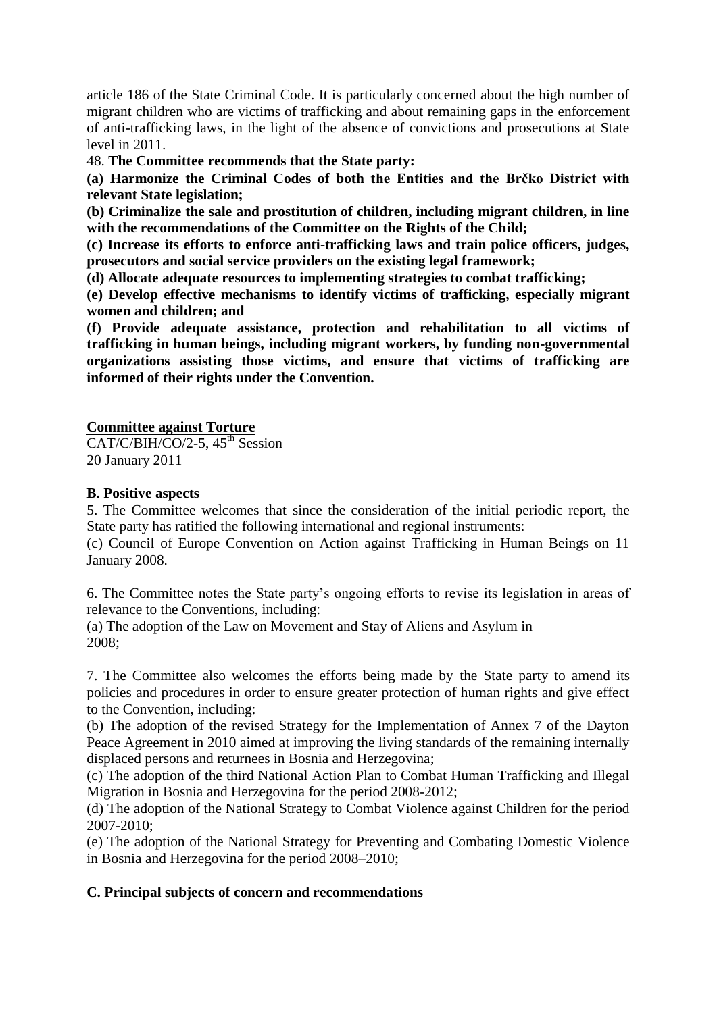article 186 of the State Criminal Code. It is particularly concerned about the high number of migrant children who are victims of trafficking and about remaining gaps in the enforcement of anti-trafficking laws, in the light of the absence of convictions and prosecutions at State level in 2011.

48. **The Committee recommends that the State party:** 

**(a) Harmonize the Criminal Codes of both the Entities and the Brčko District with relevant State legislation;** 

**(b) Criminalize the sale and prostitution of children, including migrant children, in line with the recommendations of the Committee on the Rights of the Child;** 

**(c) Increase its efforts to enforce anti-trafficking laws and train police officers, judges, prosecutors and social service providers on the existing legal framework;** 

**(d) Allocate adequate resources to implementing strategies to combat trafficking;** 

**(e) Develop effective mechanisms to identify victims of trafficking, especially migrant women and children; and** 

**(f) Provide adequate assistance, protection and rehabilitation to all victims of trafficking in human beings, including migrant workers, by funding non-governmental organizations assisting those victims, and ensure that victims of trafficking are informed of their rights under the Convention.**

#### **Committee against Torture**

 $CAT/C/BIH/CO/2-5$ ,  $45<sup>th</sup>$  Session 20 January 2011

#### **B. Positive aspects**

5. The Committee welcomes that since the consideration of the initial periodic report, the State party has ratified the following international and regional instruments:

(c) Council of Europe Convention on Action against Trafficking in Human Beings on 11 January 2008.

6. The Committee notes the State party's ongoing efforts to revise its legislation in areas of relevance to the Conventions, including:

(a) The adoption of the Law on Movement and Stay of Aliens and Asylum in 2008;

7. The Committee also welcomes the efforts being made by the State party to amend its policies and procedures in order to ensure greater protection of human rights and give effect to the Convention, including:

(b) The adoption of the revised Strategy for the Implementation of Annex 7 of the Dayton Peace Agreement in 2010 aimed at improving the living standards of the remaining internally displaced persons and returnees in Bosnia and Herzegovina;

(c) The adoption of the third National Action Plan to Combat Human Trafficking and Illegal Migration in Bosnia and Herzegovina for the period 2008-2012;

(d) The adoption of the National Strategy to Combat Violence against Children for the period 2007-2010;

(e) The adoption of the National Strategy for Preventing and Combating Domestic Violence in Bosnia and Herzegovina for the period 2008–2010;

# **C. Principal subjects of concern and recommendations**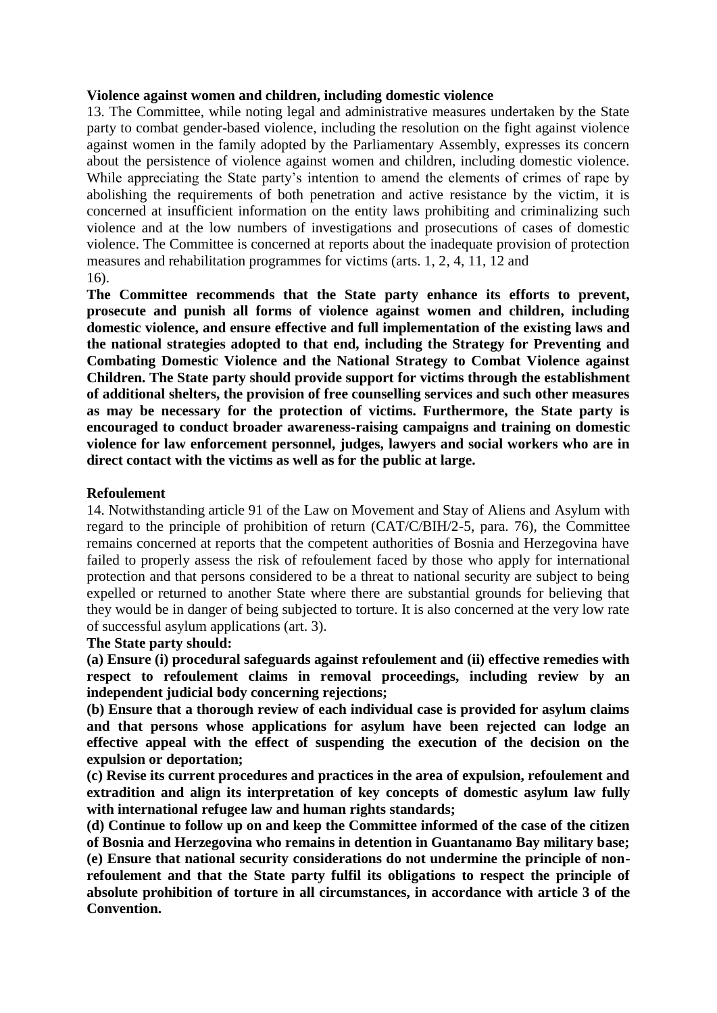#### **Violence against women and children, including domestic violence**

13. The Committee, while noting legal and administrative measures undertaken by the State party to combat gender-based violence, including the resolution on the fight against violence against women in the family adopted by the Parliamentary Assembly, expresses its concern about the persistence of violence against women and children, including domestic violence. While appreciating the State party's intention to amend the elements of crimes of rape by abolishing the requirements of both penetration and active resistance by the victim, it is concerned at insufficient information on the entity laws prohibiting and criminalizing such violence and at the low numbers of investigations and prosecutions of cases of domestic violence. The Committee is concerned at reports about the inadequate provision of protection measures and rehabilitation programmes for victims (arts. 1, 2, 4, 11, 12 and 16).

**The Committee recommends that the State party enhance its efforts to prevent, prosecute and punish all forms of violence against women and children, including domestic violence, and ensure effective and full implementation of the existing laws and the national strategies adopted to that end, including the Strategy for Preventing and Combating Domestic Violence and the National Strategy to Combat Violence against Children. The State party should provide support for victims through the establishment of additional shelters, the provision of free counselling services and such other measures as may be necessary for the protection of victims. Furthermore, the State party is encouraged to conduct broader awareness-raising campaigns and training on domestic violence for law enforcement personnel, judges, lawyers and social workers who are in direct contact with the victims as well as for the public at large.**

#### **Refoulement**

14. Notwithstanding article 91 of the Law on Movement and Stay of Aliens and Asylum with regard to the principle of prohibition of return (CAT/C/BIH/2-5, para. 76), the Committee remains concerned at reports that the competent authorities of Bosnia and Herzegovina have failed to properly assess the risk of refoulement faced by those who apply for international protection and that persons considered to be a threat to national security are subject to being expelled or returned to another State where there are substantial grounds for believing that they would be in danger of being subjected to torture. It is also concerned at the very low rate of successful asylum applications (art. 3).

#### **The State party should:**

**(a) Ensure (i) procedural safeguards against refoulement and (ii) effective remedies with respect to refoulement claims in removal proceedings, including review by an independent judicial body concerning rejections;**

**(b) Ensure that a thorough review of each individual case is provided for asylum claims and that persons whose applications for asylum have been rejected can lodge an effective appeal with the effect of suspending the execution of the decision on the expulsion or deportation;**

**(c) Revise its current procedures and practices in the area of expulsion, refoulement and extradition and align its interpretation of key concepts of domestic asylum law fully with international refugee law and human rights standards;**

**(d) Continue to follow up on and keep the Committee informed of the case of the citizen of Bosnia and Herzegovina who remains in detention in Guantanamo Bay military base; (e) Ensure that national security considerations do not undermine the principle of nonrefoulement and that the State party fulfil its obligations to respect the principle of absolute prohibition of torture in all circumstances, in accordance with article 3 of the Convention.**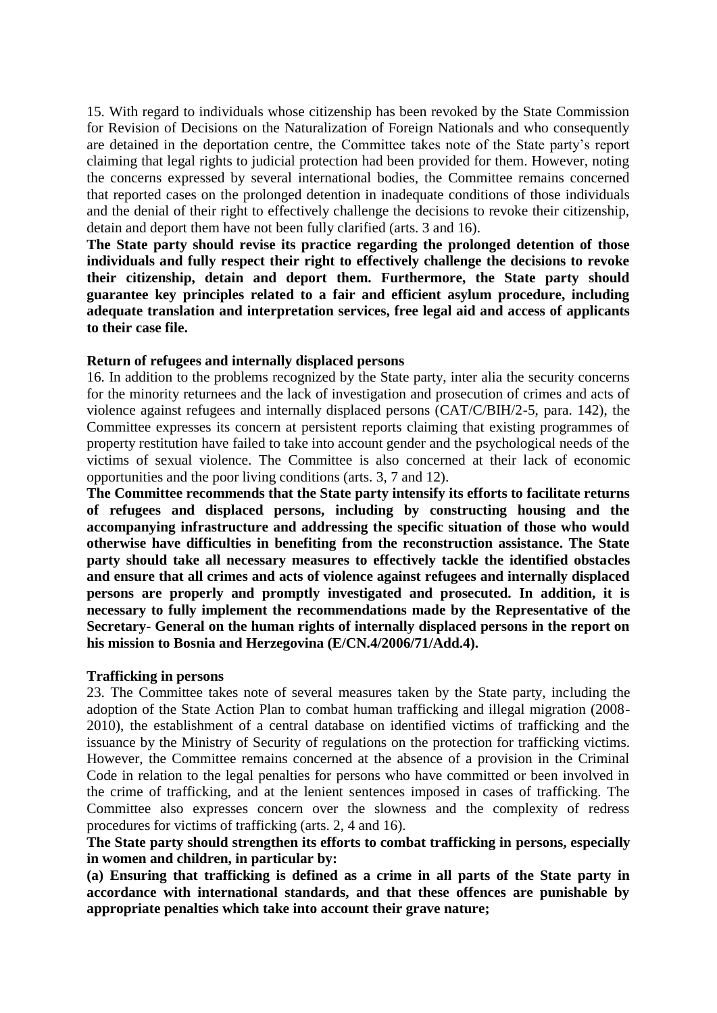15. With regard to individuals whose citizenship has been revoked by the State Commission for Revision of Decisions on the Naturalization of Foreign Nationals and who consequently are detained in the deportation centre, the Committee takes note of the State party's report claiming that legal rights to judicial protection had been provided for them. However, noting the concerns expressed by several international bodies, the Committee remains concerned that reported cases on the prolonged detention in inadequate conditions of those individuals and the denial of their right to effectively challenge the decisions to revoke their citizenship, detain and deport them have not been fully clarified (arts. 3 and 16).

**The State party should revise its practice regarding the prolonged detention of those individuals and fully respect their right to effectively challenge the decisions to revoke their citizenship, detain and deport them. Furthermore, the State party should guarantee key principles related to a fair and efficient asylum procedure, including adequate translation and interpretation services, free legal aid and access of applicants to their case file.**

#### **Return of refugees and internally displaced persons**

16. In addition to the problems recognized by the State party, inter alia the security concerns for the minority returnees and the lack of investigation and prosecution of crimes and acts of violence against refugees and internally displaced persons (CAT/C/BIH/2-5, para. 142), the Committee expresses its concern at persistent reports claiming that existing programmes of property restitution have failed to take into account gender and the psychological needs of the victims of sexual violence. The Committee is also concerned at their lack of economic opportunities and the poor living conditions (arts. 3, 7 and 12).

**The Committee recommends that the State party intensify its efforts to facilitate returns of refugees and displaced persons, including by constructing housing and the accompanying infrastructure and addressing the specific situation of those who would otherwise have difficulties in benefiting from the reconstruction assistance. The State party should take all necessary measures to effectively tackle the identified obstacles and ensure that all crimes and acts of violence against refugees and internally displaced persons are properly and promptly investigated and prosecuted. In addition, it is necessary to fully implement the recommendations made by the Representative of the Secretary- General on the human rights of internally displaced persons in the report on his mission to Bosnia and Herzegovina (E/CN.4/2006/71/Add.4).**

#### **Trafficking in persons**

23. The Committee takes note of several measures taken by the State party, including the adoption of the State Action Plan to combat human trafficking and illegal migration (2008- 2010), the establishment of a central database on identified victims of trafficking and the issuance by the Ministry of Security of regulations on the protection for trafficking victims. However, the Committee remains concerned at the absence of a provision in the Criminal Code in relation to the legal penalties for persons who have committed or been involved in the crime of trafficking, and at the lenient sentences imposed in cases of trafficking. The Committee also expresses concern over the slowness and the complexity of redress procedures for victims of trafficking (arts. 2, 4 and 16).

**The State party should strengthen its efforts to combat trafficking in persons, especially in women and children, in particular by:**

**(a) Ensuring that trafficking is defined as a crime in all parts of the State party in accordance with international standards, and that these offences are punishable by appropriate penalties which take into account their grave nature;**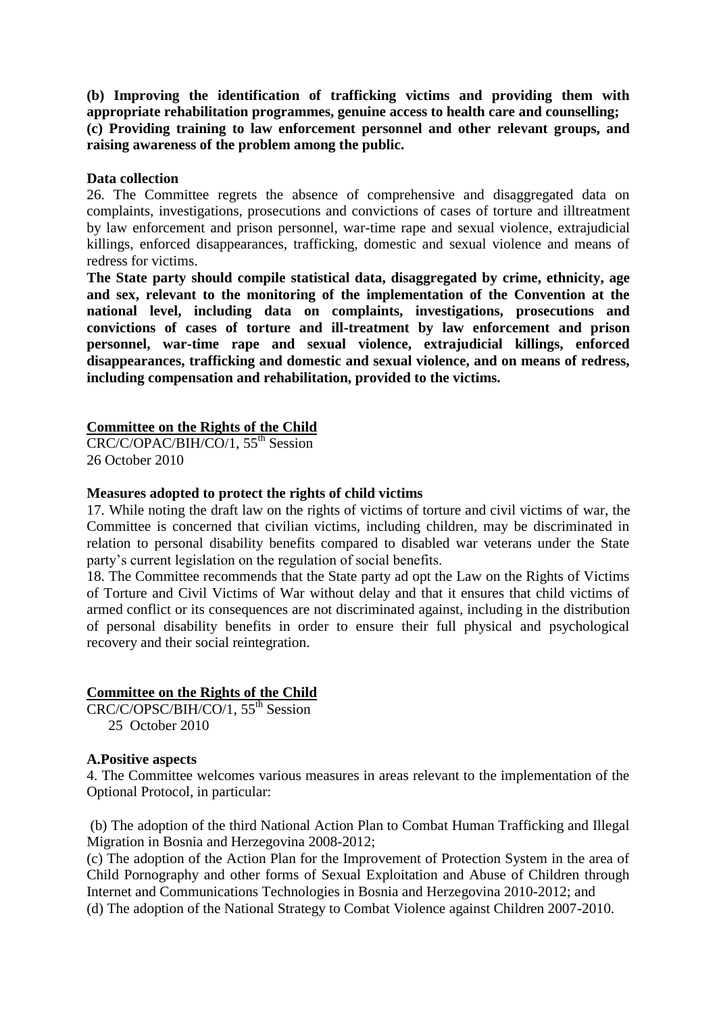**(b) Improving the identification of trafficking victims and providing them with appropriate rehabilitation programmes, genuine access to health care and counselling; (c) Providing training to law enforcement personnel and other relevant groups, and raising awareness of the problem among the public.**

#### **Data collection**

26. The Committee regrets the absence of comprehensive and disaggregated data on complaints, investigations, prosecutions and convictions of cases of torture and illtreatment by law enforcement and prison personnel, war-time rape and sexual violence, extrajudicial killings, enforced disappearances, trafficking, domestic and sexual violence and means of redress for victims.

**The State party should compile statistical data, disaggregated by crime, ethnicity, age and sex, relevant to the monitoring of the implementation of the Convention at the national level, including data on complaints, investigations, prosecutions and convictions of cases of torture and ill-treatment by law enforcement and prison personnel, war-time rape and sexual violence, extrajudicial killings, enforced disappearances, trafficking and domestic and sexual violence, and on means of redress, including compensation and rehabilitation, provided to the victims.**

#### **Committee on the Rights of the Child**

CRC/C/OPAC/BIH/CO/1, 55<sup>th</sup> Session 26 October 2010

#### **Measures adopted to protect the rights of child victims**

17. While noting the draft law on the rights of victims of torture and civil victims of war, the Committee is concerned that civilian victims, including children, may be discriminated in relation to personal disability benefits compared to disabled war veterans under the State party's current legislation on the regulation of social benefits.

18. The Committee recommends that the State party ad opt the Law on the Rights of Victims of Torture and Civil Victims of War without delay and that it ensures that child victims of armed conflict or its consequences are not discriminated against, including in the distribution of personal disability benefits in order to ensure their full physical and psychological recovery and their social reintegration.

#### **Committee on the Rights of the Child**

CRC/C/OPSC/BIH/CO/1, 55th Session 25 October 2010

#### **A.Positive aspects**

4. The Committee welcomes various measures in areas relevant to the implementation of the Optional Protocol, in particular:

(b) The adoption of the third National Action Plan to Combat Human Trafficking and Illegal Migration in Bosnia and Herzegovina 2008-2012;

(c) The adoption of the Action Plan for the Improvement of Protection System in the area of Child Pornography and other forms of Sexual Exploitation and Abuse of Children through Internet and Communications Technologies in Bosnia and Herzegovina 2010-2012; and (d) The adoption of the National Strategy to Combat Violence against Children 2007-2010.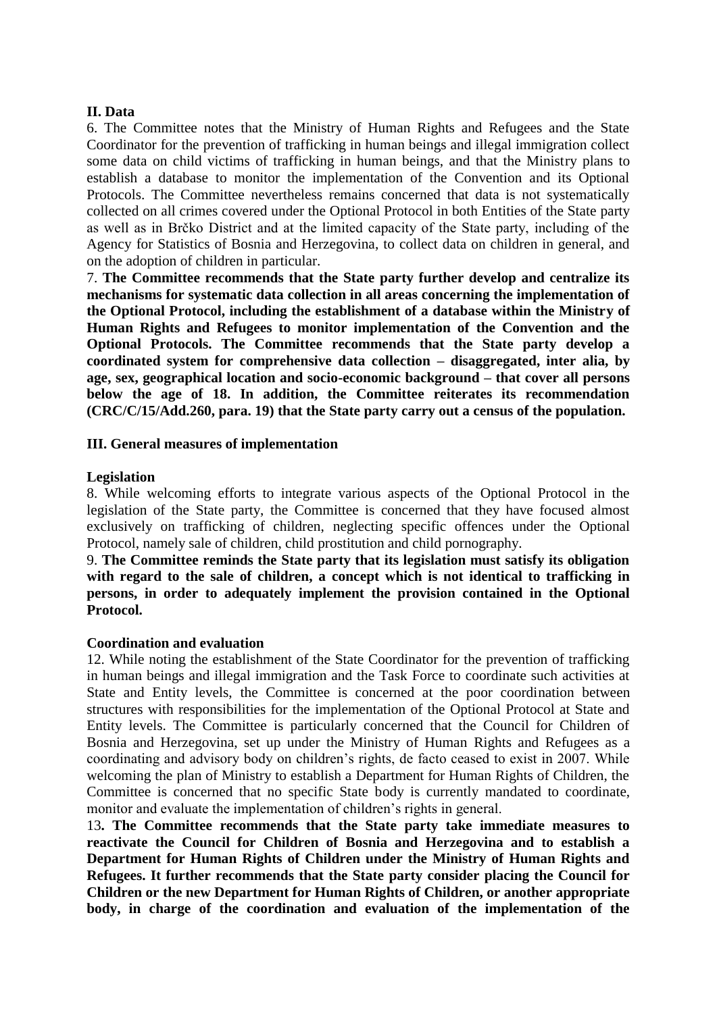#### **II. Data**

6. The Committee notes that the Ministry of Human Rights and Refugees and the State Coordinator for the prevention of trafficking in human beings and illegal immigration collect some data on child victims of trafficking in human beings, and that the Ministry plans to establish a database to monitor the implementation of the Convention and its Optional Protocols. The Committee nevertheless remains concerned that data is not systematically collected on all crimes covered under the Optional Protocol in both Entities of the State party as well as in Brčko District and at the limited capacity of the State party, including of the Agency for Statistics of Bosnia and Herzegovina, to collect data on children in general, and on the adoption of children in particular.

7. **The Committee recommends that the State party further develop and centralize its mechanisms for systematic data collection in all areas concerning the implementation of the Optional Protocol, including the establishment of a database within the Ministry of Human Rights and Refugees to monitor implementation of the Convention and the Optional Protocols. The Committee recommends that the State party develop a coordinated system for comprehensive data collection – disaggregated, inter alia, by age, sex, geographical location and socio-economic background – that cover all persons below the age of 18. In addition, the Committee reiterates its recommendation (CRC/C/15/Add.260, para. 19) that the State party carry out a census of the population.**

#### **III. General measures of implementation**

#### **Legislation**

8. While welcoming efforts to integrate various aspects of the Optional Protocol in the legislation of the State party, the Committee is concerned that they have focused almost exclusively on trafficking of children, neglecting specific offences under the Optional Protocol, namely sale of children, child prostitution and child pornography.

9. **The Committee reminds the State party that its legislation must satisfy its obligation with regard to the sale of children, a concept which is not identical to trafficking in persons, in order to adequately implement the provision contained in the Optional Protocol.**

#### **Coordination and evaluation**

12. While noting the establishment of the State Coordinator for the prevention of trafficking in human beings and illegal immigration and the Task Force to coordinate such activities at State and Entity levels, the Committee is concerned at the poor coordination between structures with responsibilities for the implementation of the Optional Protocol at State and Entity levels. The Committee is particularly concerned that the Council for Children of Bosnia and Herzegovina, set up under the Ministry of Human Rights and Refugees as a coordinating and advisory body on children's rights, de facto ceased to exist in 2007. While welcoming the plan of Ministry to establish a Department for Human Rights of Children, the Committee is concerned that no specific State body is currently mandated to coordinate, monitor and evaluate the implementation of children's rights in general.

13**. The Committee recommends that the State party take immediate measures to reactivate the Council for Children of Bosnia and Herzegovina and to establish a Department for Human Rights of Children under the Ministry of Human Rights and Refugees. It further recommends that the State party consider placing the Council for Children or the new Department for Human Rights of Children, or another appropriate body, in charge of the coordination and evaluation of the implementation of the**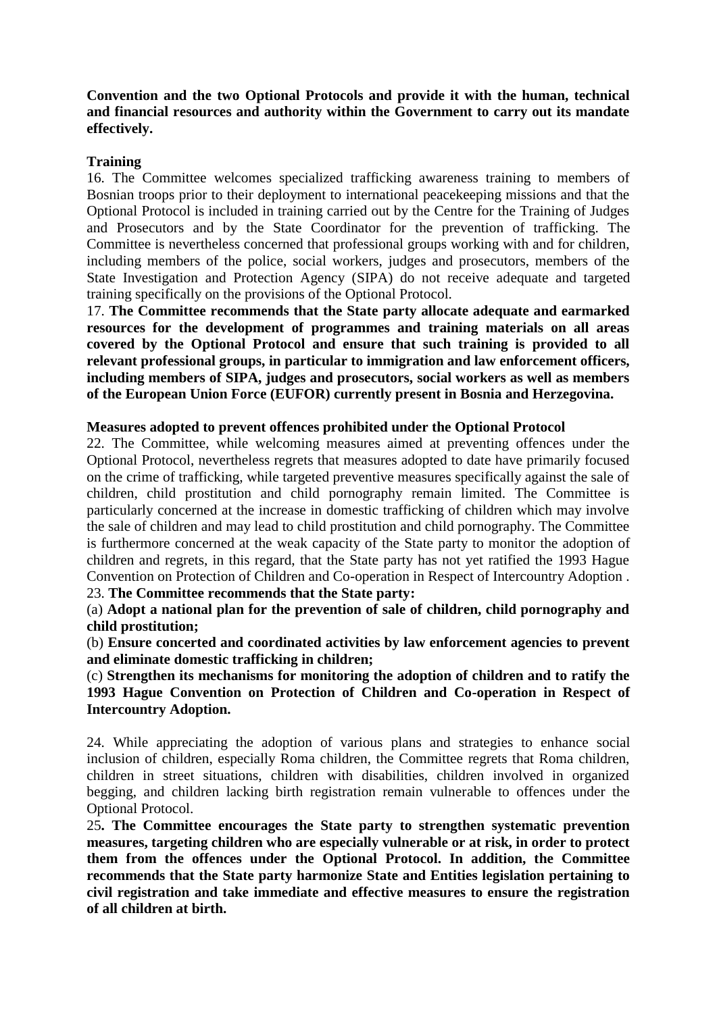**Convention and the two Optional Protocols and provide it with the human, technical and financial resources and authority within the Government to carry out its mandate effectively.** 

#### **Training**

16. The Committee welcomes specialized trafficking awareness training to members of Bosnian troops prior to their deployment to international peacekeeping missions and that the Optional Protocol is included in training carried out by the Centre for the Training of Judges and Prosecutors and by the State Coordinator for the prevention of trafficking. The Committee is nevertheless concerned that professional groups working with and for children, including members of the police, social workers, judges and prosecutors, members of the State Investigation and Protection Agency (SIPA) do not receive adequate and targeted training specifically on the provisions of the Optional Protocol.

17. **The Committee recommends that the State party allocate adequate and earmarked resources for the development of programmes and training materials on all areas covered by the Optional Protocol and ensure that such training is provided to all relevant professional groups, in particular to immigration and law enforcement officers, including members of SIPA, judges and prosecutors, social workers as well as members of the European Union Force (EUFOR) currently present in Bosnia and Herzegovina.**

#### **Measures adopted to prevent offences prohibited under the Optional Protocol**

22. The Committee, while welcoming measures aimed at preventing offences under the Optional Protocol, nevertheless regrets that measures adopted to date have primarily focused on the crime of trafficking, while targeted preventive measures specifically against the sale of children, child prostitution and child pornography remain limited. The Committee is particularly concerned at the increase in domestic trafficking of children which may involve the sale of children and may lead to child prostitution and child pornography. The Committee is furthermore concerned at the weak capacity of the State party to monitor the adoption of children and regrets, in this regard, that the State party has not yet ratified the 1993 Hague Convention on Protection of Children and Co-operation in Respect of Intercountry Adoption . 23. **The Committee recommends that the State party:** 

(a) **Adopt a national plan for the prevention of sale of children, child pornography and child prostitution;** 

(b) **Ensure concerted and coordinated activities by law enforcement agencies to prevent and eliminate domestic trafficking in children;** 

(c) **Strengthen its mechanisms for monitoring the adoption of children and to ratify the 1993 Hague Convention on Protection of Children and Co-operation in Respect of Intercountry Adoption.**

24. While appreciating the adoption of various plans and strategies to enhance social inclusion of children, especially Roma children, the Committee regrets that Roma children, children in street situations, children with disabilities, children involved in organized begging, and children lacking birth registration remain vulnerable to offences under the Optional Protocol.

25**. The Committee encourages the State party to strengthen systematic prevention measures, targeting children who are especially vulnerable or at risk, in order to protect them from the offences under the Optional Protocol. In addition, the Committee recommends that the State party harmonize State and Entities legislation pertaining to civil registration and take immediate and effective measures to ensure the registration of all children at birth.**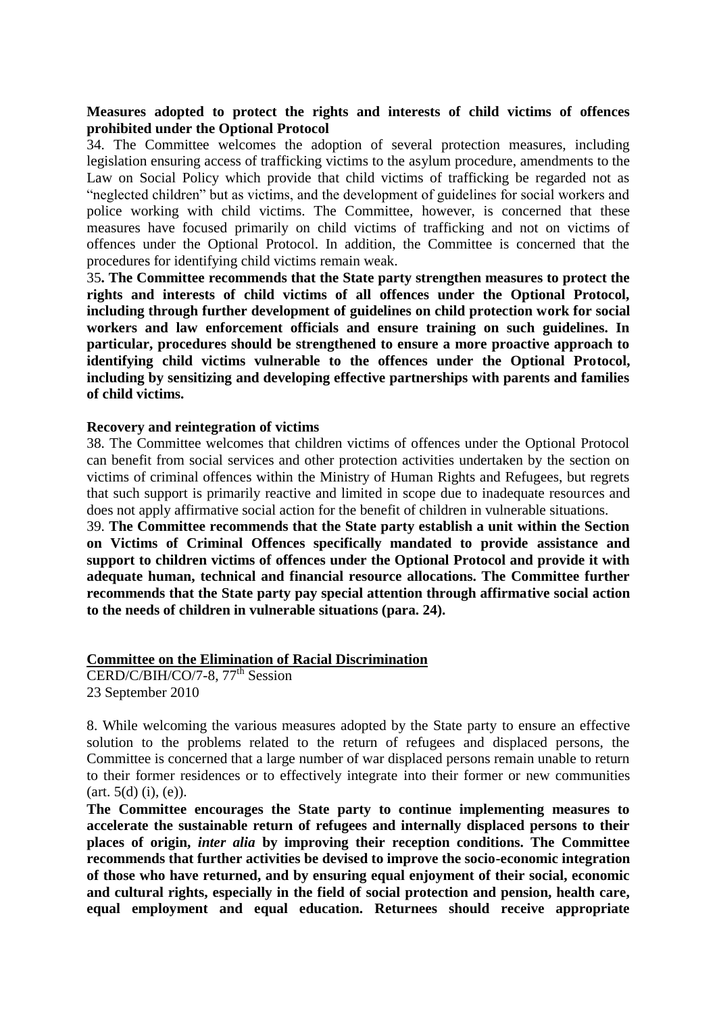#### **Measures adopted to protect the rights and interests of child victims of offences prohibited under the Optional Protocol**

34. The Committee welcomes the adoption of several protection measures, including legislation ensuring access of trafficking victims to the asylum procedure, amendments to the Law on Social Policy which provide that child victims of trafficking be regarded not as "neglected children" but as victims, and the development of guidelines for social workers and police working with child victims. The Committee, however, is concerned that these measures have focused primarily on child victims of trafficking and not on victims of offences under the Optional Protocol. In addition, the Committee is concerned that the procedures for identifying child victims remain weak.

35**. The Committee recommends that the State party strengthen measures to protect the rights and interests of child victims of all offences under the Optional Protocol, including through further development of guidelines on child protection work for social workers and law enforcement officials and ensure training on such guidelines. In particular, procedures should be strengthened to ensure a more proactive approach to identifying child victims vulnerable to the offences under the Optional Protocol, including by sensitizing and developing effective partnerships with parents and families of child victims.**

#### **Recovery and reintegration of victims**

38. The Committee welcomes that children victims of offences under the Optional Protocol can benefit from social services and other protection activities undertaken by the section on victims of criminal offences within the Ministry of Human Rights and Refugees, but regrets that such support is primarily reactive and limited in scope due to inadequate resources and does not apply affirmative social action for the benefit of children in vulnerable situations.

39. **The Committee recommends that the State party establish a unit within the Section on Victims of Criminal Offences specifically mandated to provide assistance and support to children victims of offences under the Optional Protocol and provide it with adequate human, technical and financial resource allocations. The Committee further recommends that the State party pay special attention through affirmative social action to the needs of children in vulnerable situations (para. 24).**

#### **Committee on the Elimination of Racial Discrimination**

CERD/C/BIH/CO/7-8, 77<sup>th</sup> Session 23 September 2010

8. While welcoming the various measures adopted by the State party to ensure an effective solution to the problems related to the return of refugees and displaced persons, the Committee is concerned that a large number of war displaced persons remain unable to return to their former residences or to effectively integrate into their former or new communities  $(art. 5(d) (i), (e)).$ 

**The Committee encourages the State party to continue implementing measures to accelerate the sustainable return of refugees and internally displaced persons to their places of origin,** *inter alia* **by improving their reception conditions. The Committee recommends that further activities be devised to improve the socio-economic integration of those who have returned, and by ensuring equal enjoyment of their social, economic and cultural rights, especially in the field of social protection and pension, health care, equal employment and equal education. Returnees should receive appropriate**